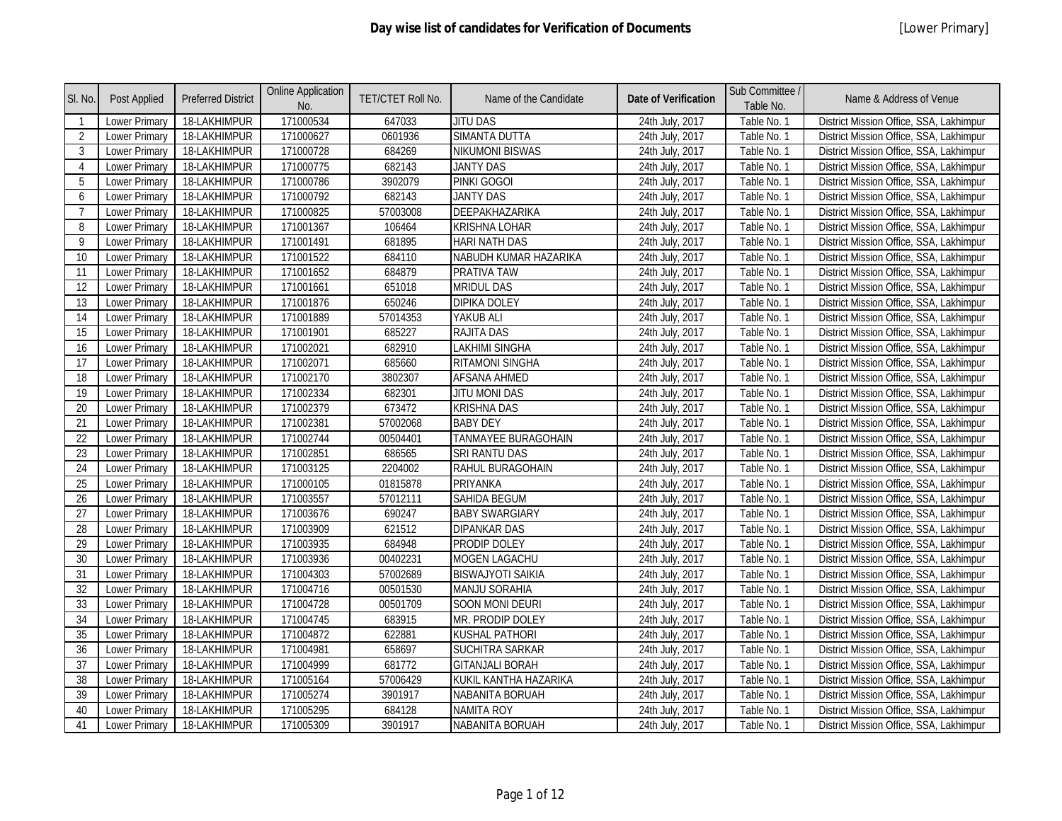| SI. No.        | Post Applied         | <b>Preferred District</b> | <b>Online Application</b><br>No. | <b>TET/CTET Roll No.</b> | Name of the Candidate    | <b>Date of Verification</b> | Sub Committee /<br>Table No. | Name & Address of Venue                 |
|----------------|----------------------|---------------------------|----------------------------------|--------------------------|--------------------------|-----------------------------|------------------------------|-----------------------------------------|
| $\overline{1}$ | Lower Primary        | 18-LAKHIMPUR              | 171000534                        | 647033                   | <b>JITU DAS</b>          | 24th July, 2017             | Table No. 1                  | District Mission Office, SSA, Lakhimpur |
| 2              | <b>Lower Primary</b> | 18-LAKHIMPUR              | 171000627                        | 0601936                  | <b>SIMANTA DUTTA</b>     | 24th July, 2017             | Table No. 1                  | District Mission Office, SSA, Lakhimpur |
| 3              | Lower Primary        | 18-LAKHIMPUR              | 171000728                        | 684269                   | <b>NIKUMONI BISWAS</b>   | 24th July, 2017             | Table No. 1                  | District Mission Office, SSA, Lakhimpur |
| $\overline{4}$ | Lower Primary        | 18-LAKHIMPUR              | 171000775                        | 682143                   | <b>JANTY DAS</b>         | 24th July, 2017             | Table No. 1                  | District Mission Office, SSA, Lakhimpur |
| 5              | Lower Primary        | 18-LAKHIMPUR              | 171000786                        | 3902079                  | PINKI GOGOI              | 24th July, 2017             | Table No. 1                  | District Mission Office, SSA, Lakhimpur |
| 6              | Lower Primary        | 18-LAKHIMPUR              | 171000792                        | 682143                   | <b>JANTY DAS</b>         | 24th July, 2017             | Table No. 1                  | District Mission Office, SSA, Lakhimpur |
| $\overline{7}$ | Lower Primary        | 18-LAKHIMPUR              | 171000825                        | 57003008                 | DEEPAKHAZARIKA           | 24th July, 2017             | Table No. 1                  | District Mission Office, SSA, Lakhimpur |
| 8              | Lower Primary        | 18-LAKHIMPUR              | 171001367                        | 106464                   | <b>KRISHNA LOHAR</b>     | 24th July, 2017             | Table No. 1                  | District Mission Office, SSA, Lakhimpur |
| 9              | Lower Primary        | 18-LAKHIMPUR              | 171001491                        | 681895                   | <b>HARI NATH DAS</b>     | 24th July, 2017             | Table No. 1                  | District Mission Office, SSA, Lakhimpur |
| 10             | Lower Primary        | 18-LAKHIMPUR              | 171001522                        | 684110                   | NABUDH KUMAR HAZARIKA    | 24th July, 2017             | Table No. 1                  | District Mission Office, SSA, Lakhimpur |
| 11             | <b>Lower Primary</b> | 18-LAKHIMPUR              | 171001652                        | 684879                   | <b>PRATIVA TAW</b>       | 24th July, 2017             | Table No. 1                  | District Mission Office, SSA, Lakhimpur |
| 12             | Lower Primary        | 18-LAKHIMPUR              | 171001661                        | 651018                   | <b>MRIDUL DAS</b>        | 24th July, 2017             | Table No. 1                  | District Mission Office, SSA, Lakhimpur |
| 13             | Lower Primary        | 18-LAKHIMPUR              | 171001876                        | 650246                   | <b>DIPIKA DOLEY</b>      | 24th July, 2017             | Table No. 1                  | District Mission Office, SSA, Lakhimpur |
| 14             | Lower Primary        | 18-LAKHIMPUR              | 171001889                        | 57014353                 | YAKUB ALI                | 24th July, 2017             | Table No. 1                  | District Mission Office, SSA, Lakhimpur |
| 15             | Lower Primary        | 18-LAKHIMPUR              | 171001901                        | 685227                   | <b>RAJITA DAS</b>        | 24th July, 2017             | Table No. 1                  | District Mission Office, SSA, Lakhimpur |
| 16             | Lower Primary        | 18-LAKHIMPUR              | 171002021                        | 682910                   | <b>LAKHIMI SINGHA</b>    | 24th July, 2017             | Table No. 1                  | District Mission Office, SSA, Lakhimpur |
| 17             | Lower Primary        | 18-LAKHIMPUR              | 171002071                        | 685660                   | RITAMONI SINGHA          | 24th July, 2017             | Table No. 1                  | District Mission Office, SSA, Lakhimpur |
| 18             | <b>Lower Primary</b> | 18-LAKHIMPUR              | 171002170                        | 3802307                  | <b>AFSANA AHMED</b>      | 24th July, 2017             | Table No. 1                  | District Mission Office, SSA, Lakhimpur |
| 19             | Lower Primary        | 18-LAKHIMPUR              | 171002334                        | 682301                   | JITU MONI DAS            | 24th July, 2017             | Table No. 1                  | District Mission Office, SSA, Lakhimpur |
| 20             | <b>Lower Primary</b> | 18-LAKHIMPUR              | 171002379                        | 673472                   | <b>KRISHNA DAS</b>       | 24th July, 2017             | Table No. 1                  | District Mission Office, SSA, Lakhimpur |
| 21             | Lower Primary        | 18-LAKHIMPUR              | 171002381                        | 57002068                 | <b>BABY DEY</b>          | 24th July, 2017             | Table No. 1                  | District Mission Office, SSA, Lakhimpur |
| 22             | <b>Lower Primary</b> | 18-LAKHIMPUR              | 171002744                        | 00504401                 | TANMAYEE BURAGOHAIN      | 24th July, 2017             | Table No. 1                  | District Mission Office, SSA, Lakhimpur |
| 23             | Lower Primary        | 18-LAKHIMPUR              | 171002851                        | 686565                   | SRI RANTU DAS            | 24th July, 2017             | Table No. 1                  | District Mission Office, SSA, Lakhimpur |
| 24             | Lower Primary        | 18-LAKHIMPUR              | 171003125                        | 2204002                  | <b>RAHUL BURAGOHAIN</b>  | 24th July, 2017             | Table No. 1                  | District Mission Office, SSA, Lakhimpur |
| 25             | Lower Primary        | 18-LAKHIMPUR              | 171000105                        | 01815878                 | PRIYANKA                 | 24th July, 2017             | Table No. 1                  | District Mission Office, SSA, Lakhimpur |
| 26             | <b>Lower Primary</b> | 18-LAKHIMPUR              | 171003557                        | 57012111                 | <b>SAHIDA BEGUM</b>      | 24th July, 2017             | Table No. 1                  | District Mission Office, SSA, Lakhimpur |
| 27             | Lower Primary        | 18-LAKHIMPUR              | 171003676                        | 690247                   | <b>BABY SWARGIARY</b>    | 24th July, 2017             | Table No. 1                  | District Mission Office, SSA, Lakhimpur |
| 28             | Lower Primary        | 18-LAKHIMPUR              | 171003909                        | 621512                   | <b>DIPANKAR DAS</b>      | 24th July, 2017             | Table No. 1                  | District Mission Office, SSA, Lakhimpur |
| 29             | Lower Primary        | 18-LAKHIMPUR              | 171003935                        | 684948                   | PRODIP DOLEY             | 24th July, 2017             | Table No. 1                  | District Mission Office, SSA, Lakhimpur |
| 30             | Lower Primary        | 18-LAKHIMPUR              | 171003936                        | 00402231                 | <b>MOGEN LAGACHU</b>     | 24th July, 2017             | Table No. 1                  | District Mission Office, SSA, Lakhimpur |
| 31             | Lower Primary        | 18-LAKHIMPUR              | 171004303                        | 57002689                 | <b>BISWAJYOTI SAIKIA</b> | 24th July, 2017             | Table No. 1                  | District Mission Office, SSA, Lakhimpur |
| 32             | Lower Primary        | 18-LAKHIMPUR              | 171004716                        | 00501530                 | <b>MANJU SORAHIA</b>     | 24th July, 2017             | Table No. 1                  | District Mission Office, SSA, Lakhimpur |
| 33             | <b>Lower Primary</b> | 18-LAKHIMPUR              | 171004728                        | 00501709                 | <b>SOON MONI DEURI</b>   | 24th July, 2017             | Table No. 1                  | District Mission Office, SSA, Lakhimpur |
| 34             | Lower Primary        | 18-LAKHIMPUR              | 171004745                        | 683915                   | MR. PRODIP DOLEY         | 24th July, 2017             | Table No. 1                  | District Mission Office, SSA, Lakhimpur |
| 35             | Lower Primary        | 18-LAKHIMPUR              | 171004872                        | 622881                   | <b>KUSHAL PATHORI</b>    | 24th July, 2017             | Table No. 1                  | District Mission Office, SSA, Lakhimpur |
| 36             | Lower Primary        | 18-LAKHIMPUR              | 171004981                        | 658697                   | SUCHITRA SARKAR          | 24th July, 2017             | Table No. 1                  | District Mission Office, SSA, Lakhimpur |
| 37             | <b>Lower Primary</b> | 18-LAKHIMPUR              | 171004999                        | 681772                   | <b>GITANJALI BORAH</b>   | 24th July, 2017             | Table No. 1                  | District Mission Office, SSA, Lakhimpur |
| 38             | Lower Primary        | 18-LAKHIMPUR              | 171005164                        | 57006429                 | KUKIL KANTHA HAZARIKA    | 24th July, 2017             | Table No. 1                  | District Mission Office, SSA, Lakhimpur |
| 39             | Lower Primary        | 18-LAKHIMPUR              | 171005274                        | 3901917                  | NABANITA BORUAH          | 24th July, 2017             | Table No. 1                  | District Mission Office, SSA, Lakhimpur |
| 40             | Lower Primary        | 18-LAKHIMPUR              | 171005295                        | 684128                   | <b>NAMITA ROY</b>        | 24th July, 2017             | Table No. 1                  | District Mission Office, SSA, Lakhimpur |
| 41             | Lower Primary        | 18-LAKHIMPUR              | 171005309                        | 3901917                  | NABANITA BORUAH          | 24th July, 2017             | Table No. 1                  | District Mission Office, SSA, Lakhimpur |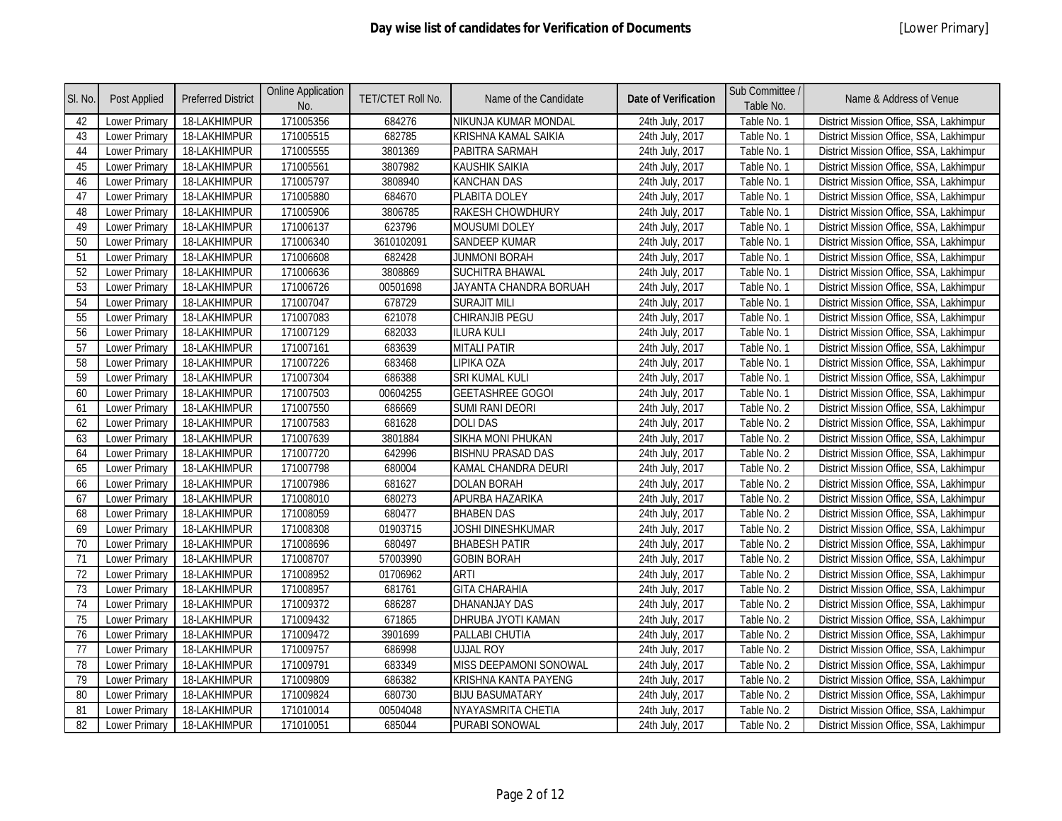| SI. No. | Post Applied         | <b>Preferred District</b> | <b>Online Application</b><br>No. | TET/CTET Roll No. | Name of the Candidate       | <b>Date of Verification</b> | Sub Committee /<br>Table No. | Name & Address of Venue                 |
|---------|----------------------|---------------------------|----------------------------------|-------------------|-----------------------------|-----------------------------|------------------------------|-----------------------------------------|
| 42      | Lower Primary        | 18-LAKHIMPUR              | 171005356                        | 684276            | NIKUNJA KUMAR MONDAL        | 24th July, 2017             | Table No. 1                  | District Mission Office, SSA, Lakhimpur |
| 43      | Lower Primary        | 18-LAKHIMPUR              | 171005515                        | 682785            | <b>KRISHNA KAMAL SAIKIA</b> | 24th July, 2017             | Table No. 1                  | District Mission Office, SSA, Lakhimpur |
| 44      | Lower Primary        | 18-LAKHIMPUR              | 171005555                        | 3801369           | PABITRA SARMAH              | 24th July, 2017             | Table No. 1                  | District Mission Office, SSA, Lakhimpur |
| 45      | <b>Lower Primary</b> | 18-LAKHIMPUR              | 171005561                        | 3807982           | <b>KAUSHIK SAIKIA</b>       | 24th July, 2017             | Table No. 1                  | District Mission Office, SSA, Lakhimpur |
| 46      | Lower Primary        | 18-LAKHIMPUR              | 171005797                        | 3808940           | <b>KANCHAN DAS</b>          | 24th July, 2017             | Table No. 1                  | District Mission Office, SSA, Lakhimpur |
| 47      | <b>Lower Primary</b> | 18-LAKHIMPUR              | 171005880                        | 684670            | PLABITA DOLEY               | 24th July, 2017             | Table No. 1                  | District Mission Office, SSA, Lakhimpur |
| 48      | Lower Primary        | 18-LAKHIMPUR              | 171005906                        | 3806785           | <b>RAKESH CHOWDHURY</b>     | 24th July, 2017             | Table No. 1                  | District Mission Office, SSA, Lakhimpur |
| 49      | <b>Lower Primary</b> | 18-LAKHIMPUR              | 171006137                        | 623796            | <b>MOUSUMI DOLEY</b>        | 24th July, 2017             | Table No. 1                  | District Mission Office, SSA, Lakhimpur |
| 50      | Lower Primary        | 18-LAKHIMPUR              | 171006340                        | 3610102091        | <b>SANDEEP KUMAR</b>        | 24th July, 2017             | Table No. 1                  | District Mission Office, SSA, Lakhimpur |
| 51      | Lower Primary        | 18-LAKHIMPUR              | 171006608                        | 682428            | <b>JUNMONI BORAH</b>        | 24th July, 2017             | Table No. 1                  | District Mission Office, SSA, Lakhimpur |
| 52      | Lower Primary        | 18-LAKHIMPUR              | 171006636                        | 3808869           | <b>SUCHITRA BHAWAL</b>      | 24th July, 2017             | Table No. 1                  | District Mission Office, SSA, Lakhimpur |
| 53      | <b>Lower Primary</b> | 18-LAKHIMPUR              | 171006726                        | 00501698          | JAYANTA CHANDRA BORUAH      | 24th July, 2017             | Table No. 1                  | District Mission Office, SSA, Lakhimpur |
| 54      | <b>Lower Primary</b> | 18-LAKHIMPUR              | 171007047                        | 678729            | <b>SURAJIT MILI</b>         | 24th July, 2017             | Table No. 1                  | District Mission Office, SSA, Lakhimpur |
| 55      | Lower Primary        | 18-LAKHIMPUR              | 171007083                        | 621078            | CHIRANJIB PEGU              | 24th July, 2017             | Table No. 1                  | District Mission Office, SSA, Lakhimpur |
| 56      | <b>Lower Primary</b> | 18-LAKHIMPUR              | 171007129                        | 682033            | <b>ILURA KULI</b>           | 24th July, 2017             | Table No. 1                  | District Mission Office, SSA, Lakhimpur |
| 57      | Lower Primary        | 18-LAKHIMPUR              | 171007161                        | 683639            | <b>MITALI PATIR</b>         | 24th July, 2017             | Table No. 1                  | District Mission Office, SSA, Lakhimpur |
| 58      | Lower Primary        | 18-LAKHIMPUR              | 171007226                        | 683468            | LIPIKA OZA                  | 24th July, 2017             | Table No. 1                  | District Mission Office, SSA, Lakhimpur |
| 59      | Lower Primary        | 18-LAKHIMPUR              | 171007304                        | 686388            | SRI KUMAL KULI              | 24th July, 2017             | Table No. 1                  | District Mission Office, SSA, Lakhimpur |
| 60      | Lower Primary        | 18-LAKHIMPUR              | 171007503                        | 00604255          | <b>GEETASHREE GOGOI</b>     | 24th July, 2017             | Table No. 1                  | District Mission Office, SSA, Lakhimpur |
| 61      | Lower Primary        | 18-LAKHIMPUR              | 171007550                        | 686669            | <b>SUMI RANI DEORI</b>      | 24th July, 2017             | Table No. 2                  | District Mission Office, SSA, Lakhimpur |
| 62      | <b>Lower Primary</b> | 18-LAKHIMPUR              | 171007583                        | 681628            | <b>DOLIDAS</b>              | 24th July, 2017             | Table No. 2                  | District Mission Office, SSA, Lakhimpur |
| 63      | <b>Lower Primary</b> | 18-LAKHIMPUR              | 171007639                        | 3801884           | <b>SIKHA MONI PHUKAN</b>    | 24th July, 2017             | Table No. 2                  | District Mission Office, SSA, Lakhimpur |
| 64      | <b>Lower Primary</b> | 18-LAKHIMPUR              | 171007720                        | 642996            | <b>BISHNU PRASAD DAS</b>    | 24th July, 2017             | Table No. 2                  | District Mission Office, SSA, Lakhimpur |
| 65      | Lower Primary        | 18-LAKHIMPUR              | 171007798                        | 680004            | KAMAL CHANDRA DEURI         | 24th July, 2017             | Table No. 2                  | District Mission Office, SSA, Lakhimpur |
| 66      | <b>Lower Primary</b> | 18-LAKHIMPUR              | 171007986                        | 681627            | <b>DOLAN BORAH</b>          | 24th July, 2017             | Table No. 2                  | District Mission Office, SSA, Lakhimpur |
| 67      | <b>Lower Primary</b> | 18-LAKHIMPUR              | 171008010                        | 680273            | APURBA HAZARIKA             | 24th July, 2017             | Table No. 2                  | District Mission Office, SSA, Lakhimpur |
| 68      | Lower Primary        | 18-LAKHIMPUR              | 171008059                        | 680477            | <b>BHABEN DAS</b>           | 24th July, 2017             | Table No. 2                  | District Mission Office, SSA, Lakhimpur |
| 69      | Lower Primary        | 18-LAKHIMPUR              | 171008308                        | 01903715          | JOSHI DINESHKUMAR           | 24th July, 2017             | Table No. 2                  | District Mission Office, SSA, Lakhimpur |
| 70      | Lower Primary        | 18-LAKHIMPUR              | 171008696                        | 680497            | <b>BHABESH PATIR</b>        | 24th July, 2017             | Table No. 2                  | District Mission Office, SSA, Lakhimpur |
| 71      | <b>Lower Primary</b> | 18-LAKHIMPUR              | 171008707                        | 57003990          | <b>GOBIN BORAH</b>          | 24th July, 2017             | Table No. 2                  | District Mission Office, SSA, Lakhimpur |
| 72      | Lower Primary        | 18-LAKHIMPUR              | 171008952                        | 01706962          | <b>ARTI</b>                 | 24th July, 2017             | Table No. 2                  | District Mission Office, SSA, Lakhimpur |
| 73      | Lower Primary        | 18-LAKHIMPUR              | 171008957                        | 681761            | <b>GITA CHARAHIA</b>        | 24th July, 2017             | Table No. 2                  | District Mission Office, SSA, Lakhimpur |
| 74      | <b>Lower Primary</b> | 18-LAKHIMPUR              | 171009372                        | 686287            | <b>DHANANJAY DAS</b>        | 24th July, 2017             | Table No. 2                  | District Mission Office, SSA, Lakhimpur |
| 75      | Lower Primary        | 18-LAKHIMPUR              | 171009432                        | 671865            | DHRUBA JYOTI KAMAN          | 24th July, 2017             | Table No. 2                  | District Mission Office, SSA, Lakhimpur |
| 76      | Lower Primary        | 18-LAKHIMPUR              | 171009472                        | 3901699           | PALLABI CHUTIA              | 24th July, 2017             | Table No. 2                  | District Mission Office, SSA, Lakhimpur |
| 77      | Lower Primary        | 18-LAKHIMPUR              | 171009757                        | 686998            | <b>UJJAL ROY</b>            | 24th July, 2017             | Table No. 2                  | District Mission Office, SSA, Lakhimpur |
| 78      | Lower Primary        | 18-LAKHIMPUR              | 171009791                        | 683349            | MISS DEEPAMONI SONOWAL      | 24th July, 2017             | Table No. 2                  | District Mission Office, SSA, Lakhimpur |
| 79      | Lower Primary        | 18-LAKHIMPUR              | 171009809                        | 686382            | KRISHNA KANTA PAYENG        | 24th July, 2017             | Table No. 2                  | District Mission Office, SSA, Lakhimpur |
| 80      | <b>Lower Primary</b> | 18-LAKHIMPUR              | 171009824                        | 680730            | <b>BIJU BASUMATARY</b>      | 24th July, 2017             | Table No. 2                  | District Mission Office, SSA, Lakhimpur |
| 81      | Lower Primary        | 18-LAKHIMPUR              | 171010014                        | 00504048          | NYAYASMRITA CHETIA          | 24th July, 2017             | Table No. 2                  | District Mission Office, SSA, Lakhimpur |
| 82      | <b>Lower Primary</b> | 18-LAKHIMPUR              | 171010051                        | 685044            | PURABI SONOWAL              | 24th July, 2017             | Table No. 2                  | District Mission Office, SSA, Lakhimpur |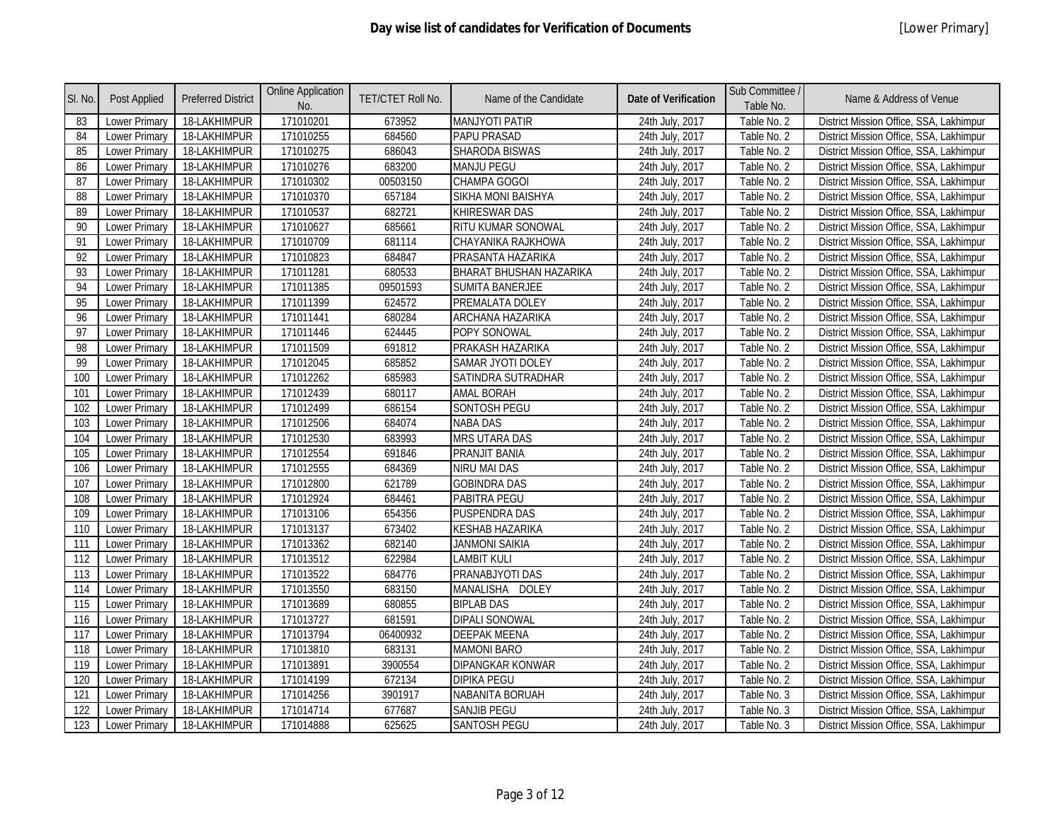| SI. No. | Post Applied         | <b>Preferred District</b> | <b>Online Application</b><br>No. | TET/CTET Roll No. | Name of the Candidate   | <b>Date of Verification</b> | Sub Committee /<br>Table No. | Name & Address of Venue                 |
|---------|----------------------|---------------------------|----------------------------------|-------------------|-------------------------|-----------------------------|------------------------------|-----------------------------------------|
| 83      | Lower Primary        | 18-LAKHIMPUR              | 171010201                        | 673952            | <b>MANJYOTI PATIR</b>   | 24th July, 2017             | Table No. 2                  | District Mission Office, SSA, Lakhimpur |
| 84      | <b>Lower Primary</b> | 18-LAKHIMPUR              | 171010255                        | 684560            | PAPU PRASAD             | 24th July, 2017             | Table No. 2                  | District Mission Office, SSA, Lakhimpur |
| 85      | Lower Primary        | 18-LAKHIMPUR              | 171010275                        | 686043            | <b>SHARODA BISWAS</b>   | 24th July, 2017             | Table No. 2                  | District Mission Office, SSA, Lakhimpur |
| 86      | Lower Primary        | 18-LAKHIMPUR              | 171010276                        | 683200            | <b>MANJU PEGU</b>       | 24th July, 2017             | Table No. 2                  | District Mission Office, SSA, Lakhimpur |
| 87      | <b>Lower Primary</b> | 18-LAKHIMPUR              | 171010302                        | 00503150          | CHAMPA GOGOI            | 24th July, 2017             | Table No. 2                  | District Mission Office, SSA, Lakhimpur |
| 88      | <b>Lower Primary</b> | 18-LAKHIMPUR              | 171010370                        | 657184            | SIKHA MONI BAISHYA      | 24th July, 2017             | Table No. 2                  | District Mission Office, SSA, Lakhimpur |
| 89      | <b>Lower Primary</b> | 18-LAKHIMPUR              | 171010537                        | 682721            | KHIRESWAR DAS           | 24th July, 2017             | Table No. 2                  | District Mission Office, SSA, Lakhimpur |
| 90      | <b>Lower Primary</b> | 18-LAKHIMPUR              | 171010627                        | 685661            | RITU KUMAR SONOWAL      | 24th July, 2017             | Table No. 2                  | District Mission Office, SSA, Lakhimpur |
| 91      | Lower Primary        | 18-LAKHIMPUR              | 171010709                        | 681114            | CHAYANIKA RAJKHOWA      | 24th July, 2017             | Table No. 2                  | District Mission Office, SSA, Lakhimpur |
| 92      | Lower Primary        | 18-LAKHIMPUR              | 171010823                        | 684847            | PRASANTA HAZARIKA       | 24th July, 2017             | Table No. 2                  | District Mission Office, SSA, Lakhimpur |
| 93      | <b>Lower Primary</b> | 18-LAKHIMPUR              | 171011281                        | 680533            | BHARAT BHUSHAN HAZARIKA | 24th July, 2017             | Table No. 2                  | District Mission Office, SSA, Lakhimpur |
| 94      | <b>Lower Primary</b> | 18-LAKHIMPUR              | 171011385                        | 09501593          | <b>SUMITA BANERJEE</b>  | 24th July, 2017             | Table No. 2                  | District Mission Office, SSA, Lakhimpur |
| 95      | <b>Lower Primary</b> | 18-LAKHIMPUR              | 171011399                        | 624572            | PREMALATA DOLEY         | 24th July, 2017             | Table No. 2                  | District Mission Office, SSA, Lakhimpur |
| 96      | Lower Primary        | 18-LAKHIMPUR              | 171011441                        | 680284            | ARCHANA HAZARIKA        | 24th July, 2017             | Table No. 2                  | District Mission Office, SSA, Lakhimpur |
| 97      | <b>Lower Primary</b> | 18-LAKHIMPUR              | 171011446                        | 624445            | POPY SONOWAL            | 24th July, 2017             | Table No. 2                  | District Mission Office, SSA, Lakhimpur |
| 98      | Lower Primary        | 18-LAKHIMPUR              | 171011509                        | 691812            | PRAKASH HAZARIKA        | 24th July, 2017             | Table No. 2                  | District Mission Office, SSA, Lakhimpur |
| 99      | <b>Lower Primary</b> | 18-LAKHIMPUR              | 171012045                        | 685852            | SAMAR JYOTI DOLEY       | 24th July, 2017             | Table No. 2                  | District Mission Office, SSA, Lakhimpur |
| 100     | Lower Primary        | 18-LAKHIMPUR              | 171012262                        | 685983            | SATINDRA SUTRADHAR      | 24th July, 2017             | Table No. 2                  | District Mission Office, SSA, Lakhimpur |
| 101     | <b>Lower Primary</b> | 18-LAKHIMPUR              | 171012439                        | 680117            | <b>AMAL BORAH</b>       | 24th July, 2017             | Table No. 2                  | District Mission Office, SSA, Lakhimpur |
| 102     | Lower Primary        | 18-LAKHIMPUR              | 171012499                        | 686154            | SONTOSH PEGU            | 24th July, 2017             | Table No. 2                  | District Mission Office, SSA, Lakhimpur |
| 103     | <b>Lower Primary</b> | 18-LAKHIMPUR              | 171012506                        | 684074            | <b>NABA DAS</b>         | 24th July, 2017             | Table No. 2                  | District Mission Office, SSA, Lakhimpur |
| 104     | Lower Primary        | 18-LAKHIMPUR              | 171012530                        | 683993            | MRS UTARA DAS           | 24th July, 2017             | Table No. 2                  | District Mission Office, SSA, Lakhimpur |
| 105     | <b>Lower Primary</b> | 18-LAKHIMPUR              | 171012554                        | 691846            | PRANJIT BANIA           | 24th July, 2017             | Table No. 2                  | District Mission Office, SSA, Lakhimpur |
| 106     | <b>Lower Primary</b> | 18-LAKHIMPUR              | 171012555                        | 684369            | NIRU MAI DAS            | 24th July, 2017             | Table No. 2                  | District Mission Office, SSA, Lakhimpur |
| 107     | Lower Primary        | 18-LAKHIMPUR              | 171012800                        | 621789            | <b>GOBINDRA DAS</b>     | 24th July, 2017             | Table No. 2                  | District Mission Office, SSA, Lakhimpur |
| 108     | <b>Lower Primary</b> | 18-LAKHIMPUR              | 171012924                        | 684461            | PABITRA PEGU            | 24th July, 2017             | Table No. 2                  | District Mission Office, SSA, Lakhimpur |
| 109     | Lower Primary        | 18-LAKHIMPUR              | 171013106                        | 654356            | <b>PUSPENDRA DAS</b>    | 24th July, 2017             | Table No. 2                  | District Mission Office, SSA, Lakhimpur |
| 110     | Lower Primary        | 18-LAKHIMPUR              | 171013137                        | 673402            | <b>KESHAB HAZARIKA</b>  | 24th July, 2017             | Table No. 2                  | District Mission Office, SSA, Lakhimpur |
| 111     | Lower Primary        | 18-LAKHIMPUR              | 171013362                        | 682140            | <b>JANMONI SAIKIA</b>   | 24th July, 2017             | Table No. 2                  | District Mission Office, SSA, Lakhimpur |
| 112     | Lower Primary        | 18-LAKHIMPUR              | 171013512                        | 622984            | <b>LAMBIT KULI</b>      | 24th July, 2017             | Table No. 2                  | District Mission Office, SSA, Lakhimpur |
| 113     | Lower Primary        | 18-LAKHIMPUR              | 171013522                        | 684776            | PRANABJYOTI DAS         | 24th July, 2017             | Table No. 2                  | District Mission Office, SSA, Lakhimpur |
| 114     | Lower Primary        | 18-LAKHIMPUR              | 171013550                        | 683150            | MANALISHA<br>DOLEY      | 24th July, 2017             | Table No. 2                  | District Mission Office, SSA, Lakhimpur |
| 115     | <b>Lower Primary</b> | 18-LAKHIMPUR              | 171013689                        | 680855            | <b>BIPLAB DAS</b>       | 24th July, 2017             | Table No. 2                  | District Mission Office, SSA, Lakhimpur |
| 116     | <b>Lower Primary</b> | 18-LAKHIMPUR              | 171013727                        | 681591            | <b>DIPALI SONOWAL</b>   | 24th July, 2017             | Table No. 2                  | District Mission Office, SSA, Lakhimpur |
| 117     | <b>Lower Primary</b> | 18-LAKHIMPUR              | 171013794                        | 06400932          | <b>DEEPAK MEENA</b>     | 24th July, 2017             | Table No. 2                  | District Mission Office, SSA, Lakhimpur |
| 118     | Lower Primary        | 18-LAKHIMPUR              | 171013810                        | 683131            | <b>MAMONI BARO</b>      | 24th July, 2017             | Table No. 2                  | District Mission Office, SSA, Lakhimpur |
| 119     | Lower Primary        | 18-LAKHIMPUR              | 171013891                        | 3900554           | <b>DIPANGKAR KONWAR</b> | 24th July, 2017             | Table No. 2                  | District Mission Office, SSA, Lakhimpur |
| 120     | Lower Primary        | 18-LAKHIMPUR              | 171014199                        | 672134            | <b>DIPIKA PEGU</b>      | 24th July, 2017             | Table No. 2                  | District Mission Office, SSA, Lakhimpur |
| 121     | Lower Primary        | 18-LAKHIMPUR              | 171014256                        | 3901917           | NABANITA BORUAH         | 24th July, 2017             | Table No. 3                  | District Mission Office, SSA, Lakhimpur |
| 122     | Lower Primary        | 18-LAKHIMPUR              | 171014714                        | 677687            | <b>SANJIB PEGU</b>      | 24th July, 2017             | Table No. 3                  | District Mission Office, SSA, Lakhimpur |
| 123     | <b>Lower Primary</b> | 18-LAKHIMPUR              | 171014888                        | 625625            | <b>SANTOSH PEGU</b>     | 24th July, 2017             | Table No. 3                  | District Mission Office, SSA, Lakhimpur |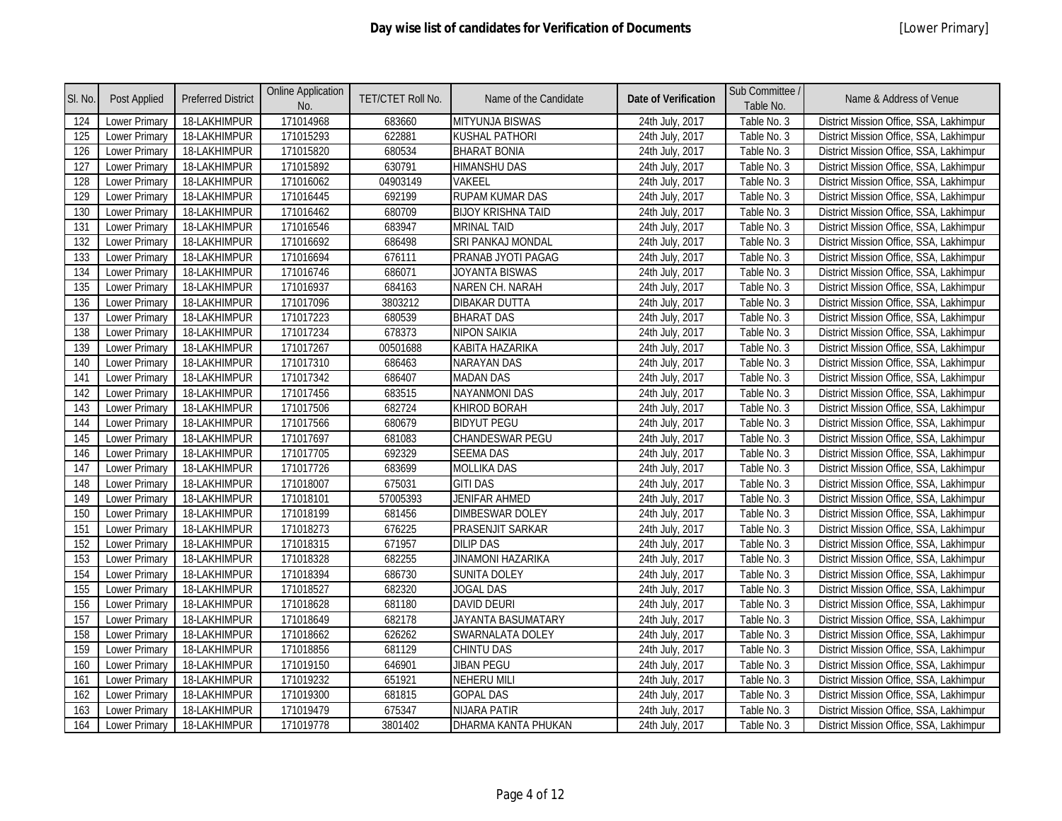| SI. No. | <b>Post Applied</b>  | <b>Preferred District</b> | <b>Online Application</b><br>No. | TET/CTET Roll No. | Name of the Candidate     | <b>Date of Verification</b> | Sub Committee /<br>Table No. | Name & Address of Venue                 |
|---------|----------------------|---------------------------|----------------------------------|-------------------|---------------------------|-----------------------------|------------------------------|-----------------------------------------|
| 124     | <b>Lower Primary</b> | 18-LAKHIMPUR              | 171014968                        | 683660            | MITYUNJA BISWAS           | 24th July, 2017             | Table No. 3                  | District Mission Office, SSA, Lakhimpur |
| 125     | <b>Lower Primary</b> | 18-LAKHIMPUR              | 171015293                        | 622881            | KUSHAL PATHORI            | 24th July, 2017             | Table No. 3                  | District Mission Office, SSA, Lakhimpur |
| 126     | <b>Lower Primary</b> | 18-LAKHIMPUR              | 171015820                        | 680534            | <b>BHARAT BONIA</b>       | 24th July, 2017             | Table No. 3                  | District Mission Office, SSA, Lakhimpur |
| 127     | Lower Primary        | 18-LAKHIMPUR              | 171015892                        | 630791            | <b>HIMANSHU DAS</b>       | 24th July, 2017             | Table No. 3                  | District Mission Office, SSA, Lakhimpur |
| 128     | <b>Lower Primary</b> | 18-LAKHIMPUR              | 171016062                        | 04903149          | VAKEEL                    | 24th July, 2017             | Table No. 3                  | District Mission Office, SSA, Lakhimpur |
| 129     | Lower Primary        | 18-LAKHIMPUR              | 171016445                        | 692199            | RUPAM KUMAR DAS           | 24th July, 2017             | Table No. 3                  | District Mission Office, SSA, Lakhimpur |
| 130     | <b>Lower Primary</b> | 18-LAKHIMPUR              | 171016462                        | 680709            | <b>BIJOY KRISHNA TAID</b> | 24th July, 2017             | Table No. 3                  | District Mission Office, SSA, Lakhimpur |
| 131     | <b>Lower Primary</b> | 18-LAKHIMPUR              | 171016546                        | 683947            | <b>MRINAL TAID</b>        | 24th July, 2017             | Table No. 3                  | District Mission Office, SSA, Lakhimpur |
| 132     | Lower Primary        | 18-LAKHIMPUR              | 171016692                        | 686498            | SRI PANKAJ MONDAL         | 24th July, 2017             | Table No. 3                  | District Mission Office, SSA, Lakhimpur |
| 133     | Lower Primary        | 18-LAKHIMPUR              | 171016694                        | 676111            | PRANAB JYOTI PAGAG        | 24th July, 2017             | Table No. 3                  | District Mission Office, SSA, Lakhimpur |
| 134     | <b>Lower Primary</b> | 18-LAKHIMPUR              | 171016746                        | 686071            | JOYANTA BISWAS            | 24th July, 2017             | Table No. 3                  | District Mission Office, SSA, Lakhimpur |
| 135     | Lower Primary        | 18-LAKHIMPUR              | 171016937                        | 684163            | NAREN CH. NARAH           | 24th July, 2017             | Table No. 3                  | District Mission Office, SSA, Lakhimpur |
| 136     | <b>Lower Primary</b> | 18-LAKHIMPUR              | 171017096                        | 3803212           | DIBAKAR DUTTA             | 24th July, 2017             | Table No. 3                  | District Mission Office, SSA, Lakhimpur |
| 137     | Lower Primary        | 18-LAKHIMPUR              | 171017223                        | 680539            | <b>BHARAT DAS</b>         | 24th July, 2017             | Table No. 3                  | District Mission Office, SSA, Lakhimpur |
| 138     | Lower Primary        | 18-LAKHIMPUR              | 171017234                        | 678373            | <b>NIPON SAIKIA</b>       | 24th July, 2017             | Table No. 3                  | District Mission Office, SSA, Lakhimpur |
| 139     | <b>Lower Primary</b> | 18-LAKHIMPUR              | 171017267                        | 00501688          | KABITA HAZARIKA           | 24th July, 2017             | Table No. 3                  | District Mission Office, SSA, Lakhimpur |
| 140     | <b>Lower Primary</b> | 18-LAKHIMPUR              | 171017310                        | 686463            | NARAYAN DAS               | 24th July, 2017             | Table No. 3                  | District Mission Office, SSA, Lakhimpur |
| 141     | Lower Primary        | 18-LAKHIMPUR              | 171017342                        | 686407            | <b>MADAN DAS</b>          | 24th July, 2017             | Table No. 3                  | District Mission Office, SSA, Lakhimpur |
| 142     | <b>Lower Primary</b> | 18-LAKHIMPUR              | 171017456                        | 683515            | <b>NAYANMONI DAS</b>      | 24th July, 2017             | Table No. 3                  | District Mission Office, SSA, Lakhimpur |
| 143     | Lower Primary        | 18-LAKHIMPUR              | 171017506                        | 682724            | KHIROD BORAH              | 24th July, 2017             | Table No. 3                  | District Mission Office, SSA, Lakhimpur |
| 144     | Lower Primary        | 18-LAKHIMPUR              | 171017566                        | 680679            | <b>BIDYUT PEGU</b>        | 24th July, 2017             | Table No. 3                  | District Mission Office, SSA, Lakhimpur |
| 145     | Lower Primary        | 18-LAKHIMPUR              | 171017697                        | 681083            | <b>CHANDESWAR PEGU</b>    | 24th July, 2017             | Table No. 3                  | District Mission Office, SSA, Lakhimpur |
| 146     | Lower Primary        | 18-LAKHIMPUR              | 171017705                        | 692329            | <b>SEEMA DAS</b>          | 24th July, 2017             | Table No. 3                  | District Mission Office, SSA, Lakhimpur |
| 147     | <b>Lower Primary</b> | 18-LAKHIMPUR              | 171017726                        | 683699            | MOLLIKA DAS               | 24th July, 2017             | Table No. 3                  | District Mission Office, SSA, Lakhimpur |
| 148     | Lower Primary        | 18-LAKHIMPUR              | 171018007                        | 675031            | <b>GITI DAS</b>           | 24th July, 2017             | Table No. 3                  | District Mission Office, SSA, Lakhimpur |
| 149     | Lower Primary        | 18-LAKHIMPUR              | 171018101                        | 57005393          | <b>JENIFAR AHMED</b>      | 24th July, 2017             | Table No. 3                  | District Mission Office, SSA, Lakhimpur |
| 150     | <b>Lower Primary</b> | 18-LAKHIMPUR              | 171018199                        | 681456            | <b>DIMBESWAR DOLEY</b>    | 24th July, 2017             | Table No. 3                  | District Mission Office, SSA, Lakhimpur |
| 151     | Lower Primary        | 18-LAKHIMPUR              | 171018273                        | 676225            | PRASENJIT SARKAR          | 24th July, 2017             | Table No. 3                  | District Mission Office, SSA, Lakhimpur |
| 152     | <b>Lower Primary</b> | 18-LAKHIMPUR              | 171018315                        | 671957            | <b>DILIP DAS</b>          | 24th July, 2017             | Table No. 3                  | District Mission Office, SSA, Lakhimpur |
| 153     | Lower Primary        | 18-LAKHIMPUR              | 171018328                        | 682255            | <b>JINAMONI HAZARIKA</b>  | 24th July, 2017             | Table No. 3                  | District Mission Office, SSA, Lakhimpur |
| 154     | Lower Primary        | 18-LAKHIMPUR              | 171018394                        | 686730            | <b>SUNITA DOLEY</b>       | 24th July, 2017             | Table No. 3                  | District Mission Office, SSA, Lakhimpur |
| 155     | <b>Lower Primary</b> | 18-LAKHIMPUR              | 171018527                        | 682320            | <b>JOGAL DAS</b>          | 24th July, 2017             | Table No. 3                  | District Mission Office, SSA, Lakhimpur |
| 156     | Lower Primary        | 18-LAKHIMPUR              | 171018628                        | 681180            | <b>DAVID DEURI</b>        | 24th July, 2017             | Table No. 3                  | District Mission Office, SSA, Lakhimpur |
| 157     | Lower Primary        | 18-LAKHIMPUR              | 171018649                        | 682178            | JAYANTA BASUMATARY        | 24th July, 2017             | Table No. 3                  | District Mission Office, SSA, Lakhimpur |
| 158     | <b>Lower Primary</b> | 18-LAKHIMPUR              | 171018662                        | 626262            | SWARNALATA DOLEY          | 24th July, 2017             | Table No. 3                  | District Mission Office, SSA, Lakhimpur |
| 159     | <b>Lower Primary</b> | 18-LAKHIMPUR              | 171018856                        | 681129            | CHINTU DAS                | 24th July, 2017             | Table No. 3                  | District Mission Office, SSA, Lakhimpur |
| 160     | <b>Lower Primary</b> | 18-LAKHIMPUR              | 171019150                        | 646901            | <b>JIBAN PEGU</b>         | 24th July, 2017             | Table No. 3                  | District Mission Office, SSA, Lakhimpur |
| 161     | Lower Primary        | 18-LAKHIMPUR              | 171019232                        | 651921            | <b>NEHERU MILI</b>        | 24th July, 2017             | Table No. 3                  | District Mission Office, SSA, Lakhimpur |
| 162     | Lower Primary        | 18-LAKHIMPUR              | 171019300                        | 681815            | <b>GOPAL DAS</b>          | 24th July, 2017             | Table No. 3                  | District Mission Office, SSA, Lakhimpur |
| 163     | <b>Lower Primary</b> | 18-LAKHIMPUR              | 171019479                        | 675347            | <b>NIJARA PATIR</b>       | 24th July, 2017             | Table No. 3                  | District Mission Office, SSA, Lakhimpur |
| 164     | <b>Lower Primary</b> | 18-LAKHIMPUR              | 171019778                        | 3801402           | DHARMA KANTA PHUKAN       | 24th July, 2017             | Table No. 3                  | District Mission Office, SSA, Lakhimpur |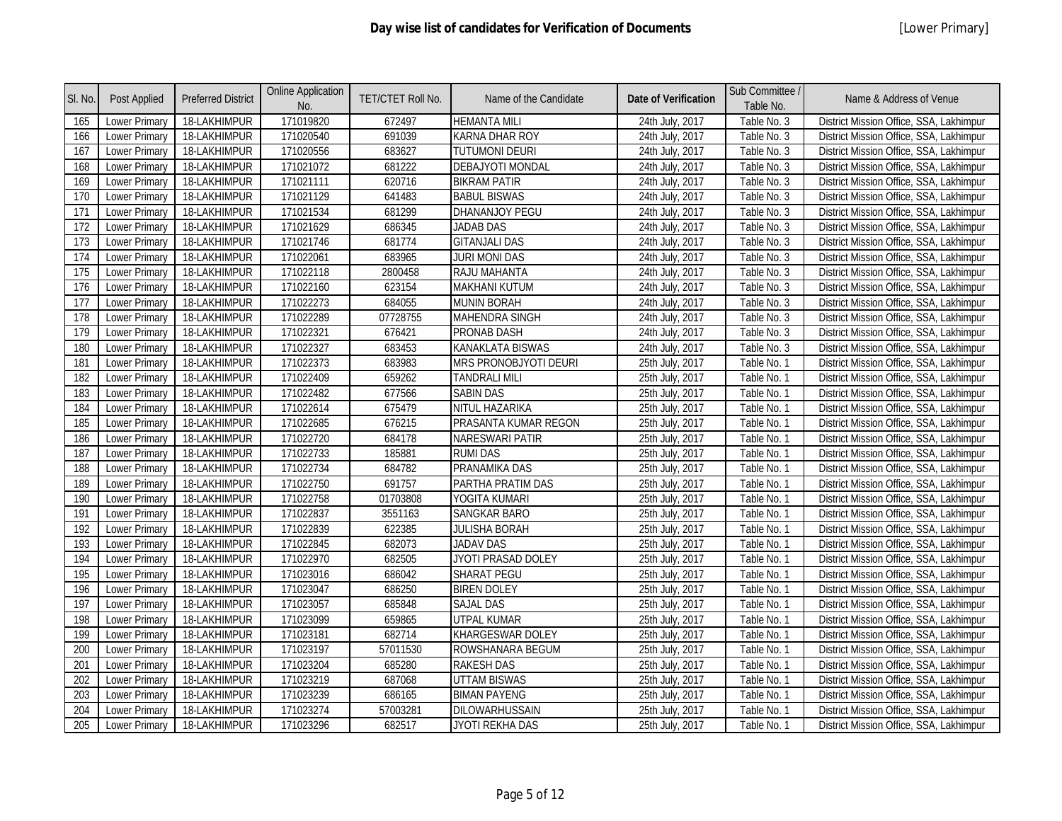| SI. No. | Post Applied         | <b>Preferred District</b> | <b>Online Application</b><br>No. | TET/CTET Roll No. | Name of the Candidate        | <b>Date of Verification</b> | Sub Committee /<br>Table No. | Name & Address of Venue                 |
|---------|----------------------|---------------------------|----------------------------------|-------------------|------------------------------|-----------------------------|------------------------------|-----------------------------------------|
| 165     | Lower Primary        | 18-LAKHIMPUR              | 171019820                        | 672497            | <b>HEMANTA MILI</b>          | 24th July, 2017             | Table No. 3                  | District Mission Office, SSA, Lakhimpur |
| 166     | <b>Lower Primary</b> | 18-LAKHIMPUR              | 171020540                        | 691039            | <b>KARNA DHAR ROY</b>        | 24th July, 2017             | Table No. 3                  | District Mission Office, SSA, Lakhimpur |
| 167     | Lower Primary        | 18-LAKHIMPUR              | 171020556                        | 683627            | <b>TUTUMONI DEURI</b>        | 24th July, 2017             | Table No. 3                  | District Mission Office, SSA, Lakhimpur |
| 168     | <b>Lower Primary</b> | 18-LAKHIMPUR              | 171021072                        | 681222            | <b>DEBAJYOTI MONDAL</b>      | 24th July, 2017             | Table No. 3                  | District Mission Office, SSA, Lakhimpur |
| 169     | <b>Lower Primary</b> | 18-LAKHIMPUR              | 171021111                        | 620716            | <b>BIKRAM PATIR</b>          | 24th July, 2017             | Table No. 3                  | District Mission Office, SSA, Lakhimpur |
| 170     | <b>Lower Primary</b> | 18-LAKHIMPUR              | 171021129                        | 641483            | <b>BABUL BISWAS</b>          | 24th July, 2017             | Table No. 3                  | District Mission Office, SSA, Lakhimpur |
| 171     | Lower Primary        | 18-LAKHIMPUR              | 171021534                        | 681299            | DHANANJOY PEGU               | 24th July, 2017             | Table No. 3                  | District Mission Office, SSA, Lakhimpur |
| 172     | Lower Primary        | 18-LAKHIMPUR              | 171021629                        | 686345            | <b>JADAB DAS</b>             | 24th July, 2017             | Table No. 3                  | District Mission Office, SSA, Lakhimpur |
| 173     | Lower Primary        | 18-LAKHIMPUR              | 171021746                        | 681774            | <b>GITANJALI DAS</b>         | 24th July, 2017             | Table No. 3                  | District Mission Office, SSA, Lakhimpur |
| 174     | <b>Lower Primary</b> | 18-LAKHIMPUR              | 171022061                        | 683965            | <b>JURI MONI DAS</b>         | 24th July, 2017             | Table No. 3                  | District Mission Office, SSA, Lakhimpur |
| 175     | Lower Primary        | 18-LAKHIMPUR              | 171022118                        | 2800458           | RAJU MAHANTA                 | 24th July, 2017             | Table No. 3                  | District Mission Office, SSA, Lakhimpur |
| 176     | <b>Lower Primary</b> | 18-LAKHIMPUR              | 171022160                        | 623154            | <b>MAKHANI KUTUM</b>         | 24th July, 2017             | Table No. 3                  | District Mission Office, SSA, Lakhimpur |
| 177     | Lower Primary        | 18-LAKHIMPUR              | 171022273                        | 684055            | <b>MUNIN BORAH</b>           | 24th July, 2017             | Table No. 3                  | District Mission Office, SSA, Lakhimpur |
| 178     | Lower Primary        | 18-LAKHIMPUR              | 171022289                        | 07728755          | <b>MAHENDRA SINGH</b>        | 24th July, 2017             | Table No. 3                  | District Mission Office, SSA, Lakhimpur |
| 179     | <b>Lower Primary</b> | 18-LAKHIMPUR              | 171022321                        | 676421            | <b>PRONAB DASH</b>           | 24th July, 2017             | Table No. 3                  | District Mission Office, SSA, Lakhimpur |
| 180     | Lower Primary        | 18-LAKHIMPUR              | 171022327                        | 683453            | <b>KANAKLATA BISWAS</b>      | 24th July, 2017             | Table No. 3                  | District Mission Office, SSA, Lakhimpur |
| 181     | <b>Lower Primary</b> | 18-LAKHIMPUR              | 171022373                        | 683983            | <b>MRS PRONOBJYOTI DEURI</b> | 25th July, 2017             | Table No. 1                  | District Mission Office, SSA, Lakhimpur |
| 182     | Lower Primary        | 18-LAKHIMPUR              | 171022409                        | 659262            | <b>TANDRALI MILI</b>         | 25th July, 2017             | Table No. 1                  | District Mission Office, SSA, Lakhimpur |
| 183     | Lower Primary        | 18-LAKHIMPUR              | 171022482                        | 677566            | <b>SABIN DAS</b>             | 25th July, 2017             | Table No. 1                  | District Mission Office, SSA, Lakhimpur |
| 184     | Lower Primary        | 18-LAKHIMPUR              | 171022614                        | 675479            | NITUL HAZARIKA               | 25th July, 2017             | Table No. 1                  | District Mission Office, SSA, Lakhimpur |
| 185     | Lower Primary        | 18-LAKHIMPUR              | 171022685                        | 676215            | PRASANTA KUMAR REGON         | 25th July, 2017             | Table No. 1                  | District Mission Office, SSA, Lakhimpur |
| 186     | <b>Lower Primary</b> | 18-LAKHIMPUR              | 171022720                        | 684178            | <b>NARESWARI PATIR</b>       | 25th July, 2017             | Table No. 1                  | District Mission Office, SSA, Lakhimpur |
| 187     | Lower Primary        | 18-LAKHIMPUR              | 171022733                        | 185881            | <b>RUMI DAS</b>              | 25th July, 2017             | Table No. 1                  | District Mission Office, SSA, Lakhimpur |
| 188     | <b>Lower Primary</b> | 18-LAKHIMPUR              | 171022734                        | 684782            | PRANAMIKA DAS                | 25th July, 2017             | Table No. 1                  | District Mission Office, SSA, Lakhimpur |
| 189     | <b>Lower Primary</b> | 18-LAKHIMPUR              | 171022750                        | 691757            | PARTHA PRATIM DAS            | 25th July, 2017             | Table No. 1                  | District Mission Office, SSA, Lakhimpur |
| 190     | Lower Primary        | 18-LAKHIMPUR              | 171022758                        | 01703808          | YOGITA KUMARI                | 25th July, 2017             | Table No. 1                  | District Mission Office, SSA, Lakhimpur |
| 191     | <b>Lower Primary</b> | 18-LAKHIMPUR              | 171022837                        | 3551163           | <b>SANGKAR BARO</b>          | 25th July, 2017             | Table No. 1                  | District Mission Office, SSA, Lakhimpur |
| 192     | Lower Primary        | 18-LAKHIMPUR              | 171022839                        | 622385            | <b>JULISHA BORAH</b>         | 25th July, 2017             | Table No. 1                  | District Mission Office, SSA, Lakhimpur |
| 193     | Lower Primary        | 18-LAKHIMPUR              | 171022845                        | 682073            | <b>JADAV DAS</b>             | 25th July, 2017             | Table No. 1                  | District Mission Office, SSA, Lakhimpur |
| 194     | <b>Lower Primary</b> | 18-LAKHIMPUR              | 171022970                        | 682505            | JYOTI PRASAD DOLEY           | 25th July, 2017             | Table No. 1                  | District Mission Office, SSA, Lakhimpur |
| 195     | Lower Primary        | 18-LAKHIMPUR              | 171023016                        | 686042            | <b>SHARAT PEGU</b>           | 25th July, 2017             | Table No. 1                  | District Mission Office, SSA, Lakhimpur |
| 196     | <b>Lower Primary</b> | 18-LAKHIMPUR              | 171023047                        | 686250            | <b>BIREN DOLEY</b>           | 25th July, 2017             | Table No. 1                  | District Mission Office, SSA, Lakhimpur |
| 197     | <b>Lower Primary</b> | 18-LAKHIMPUR              | 171023057                        | 685848            | <b>SAJAL DAS</b>             | 25th July, 2017             | Table No. 1                  | District Mission Office, SSA, Lakhimpur |
| 198     | Lower Primary        | 18-LAKHIMPUR              | 171023099                        | 659865            | <b>UTPAL KUMAR</b>           | 25th July, 2017             | Table No. 1                  | District Mission Office, SSA, Lakhimpur |
| 199     | Lower Primary        | 18-LAKHIMPUR              | 171023181                        | 682714            | <b>KHARGESWAR DOLEY</b>      | 25th July, 2017             | Table No. 1                  | District Mission Office, SSA, Lakhimpur |
| 200     | Lower Primary        | 18-LAKHIMPUR              | 171023197                        | 57011530          | ROWSHANARA BEGUM             | 25th July, 2017             | Table No. 1                  | District Mission Office, SSA, Lakhimpur |
| 201     | <b>Lower Primary</b> | 18-LAKHIMPUR              | 171023204                        | 685280            | <b>RAKESH DAS</b>            | 25th July, 2017             | Table No. 1                  | District Mission Office, SSA, Lakhimpur |
| 202     | Lower Primary        | 18-LAKHIMPUR              | 171023219                        | 687068            | <b>UTTAM BISWAS</b>          | 25th July, 2017             | Table No. 1                  | District Mission Office, SSA, Lakhimpur |
| 203     | <b>Lower Primary</b> | 18-LAKHIMPUR              | 171023239                        | 686165            | <b>BIMAN PAYENG</b>          | 25th July, 2017             | Table No. 1                  | District Mission Office, SSA, Lakhimpur |
| 204     | Lower Primary        | 18-LAKHIMPUR              | 171023274                        | 57003281          | DILOWARHUSSAIN               | 25th July, 2017             | Table No. 1                  | District Mission Office, SSA, Lakhimpur |
| 205     | <b>Lower Primary</b> | 18-LAKHIMPUR              | 171023296                        | 682517            | JYOTI REKHA DAS              | 25th July, 2017             | Table No. 1                  | District Mission Office, SSA, Lakhimpur |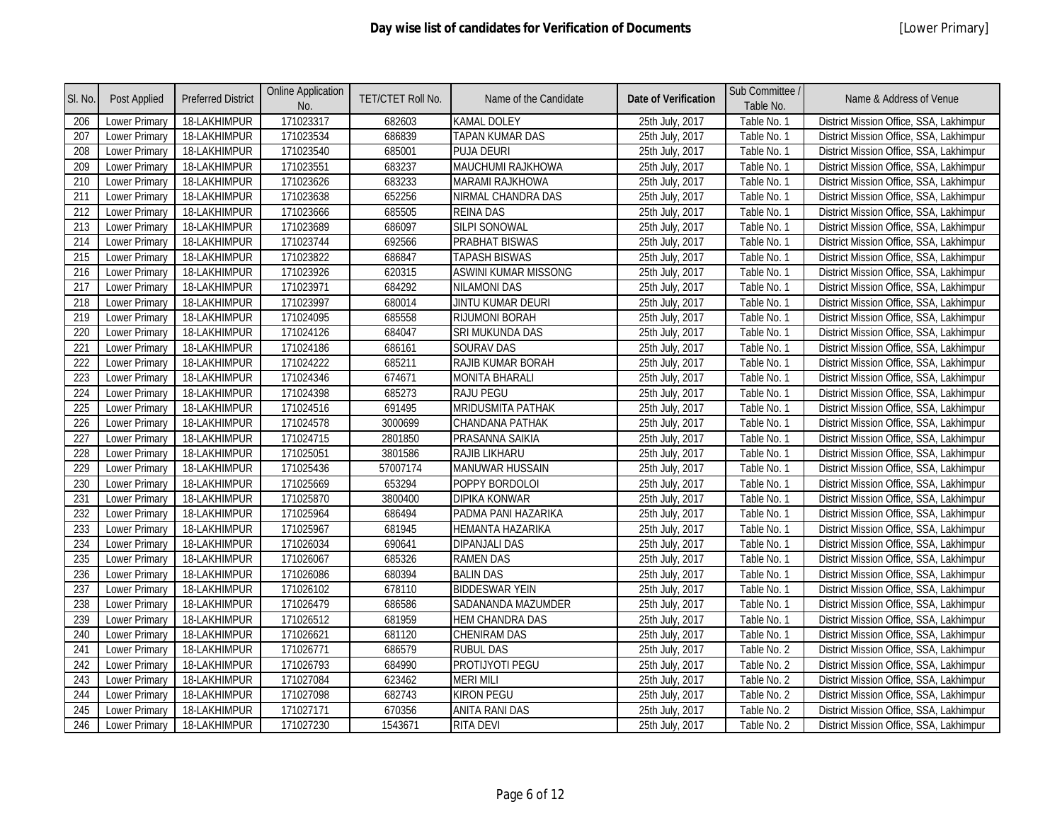| SI. No. | Post Applied         | <b>Preferred District</b> | <b>Online Application</b><br>No. | TET/CTET Roll No. | Name of the Candidate       | <b>Date of Verification</b> | Sub Committee /<br>Table No. | Name & Address of Venue                 |
|---------|----------------------|---------------------------|----------------------------------|-------------------|-----------------------------|-----------------------------|------------------------------|-----------------------------------------|
| 206     | Lower Primary        | 18-LAKHIMPUR              | 171023317                        | 682603            | <b>KAMAL DOLEY</b>          | 25th July, 2017             | Table No. 1                  | District Mission Office, SSA, Lakhimpur |
| 207     | Lower Primary        | 18-LAKHIMPUR              | 171023534                        | 686839            | TAPAN KUMAR DAS             | 25th July, 2017             | Table No. 1                  | District Mission Office, SSA, Lakhimpur |
| 208     | Lower Primary        | 18-LAKHIMPUR              | 171023540                        | 685001            | <b>PUJA DEURI</b>           | 25th July, 2017             | Table No. 1                  | District Mission Office, SSA, Lakhimpur |
| 209     | <b>Lower Primary</b> | 18-LAKHIMPUR              | 171023551                        | 683237            | <b>MAUCHUMI RAJKHOWA</b>    | 25th July, 2017             | Table No. 1                  | District Mission Office, SSA, Lakhimpur |
| 210     | Lower Primary        | 18-LAKHIMPUR              | 171023626                        | 683233            | <b>MARAMI RAJKHOWA</b>      | 25th July, 2017             | Table No. 1                  | District Mission Office, SSA, Lakhimpur |
| 211     | <b>Lower Primary</b> | 18-LAKHIMPUR              | 171023638                        | 652256            | NIRMAL CHANDRA DAS          | 25th July, 2017             | Table No. 1                  | District Mission Office, SSA, Lakhimpur |
| 212     | Lower Primary        | 18-LAKHIMPUR              | 171023666                        | 685505            | <b>REINA DAS</b>            | 25th July, 2017             | Table No. 1                  | District Mission Office, SSA, Lakhimpur |
| 213     | Lower Primary        | 18-LAKHIMPUR              | 171023689                        | 686097            | <b>SILPI SONOWAL</b>        | 25th July, 2017             | Table No. 1                  | District Mission Office, SSA, Lakhimpur |
| 214     | <b>Lower Primary</b> | 18-LAKHIMPUR              | 171023744                        | 692566            | <b>PRABHAT BISWAS</b>       | 25th July, 2017             | Table No. 1                  | District Mission Office, SSA, Lakhimpur |
| 215     | Lower Primary        | 18-LAKHIMPUR              | 171023822                        | 686847            | <b>TAPASH BISWAS</b>        | 25th July, 2017             | Table No. 1                  | District Mission Office, SSA, Lakhimpur |
| 216     | Lower Primary        | 18-LAKHIMPUR              | 171023926                        | 620315            | <b>ASWINI KUMAR MISSONG</b> | 25th July, 2017             | Table No. 1                  | District Mission Office, SSA, Lakhimpur |
| 217     | Lower Primary        | 18-LAKHIMPUR              | 171023971                        | 684292            | <b>NILAMONI DAS</b>         | 25th July, 2017             | Table No. 1                  | District Mission Office, SSA, Lakhimpur |
| 218     | Lower Primary        | 18-LAKHIMPUR              | 171023997                        | 680014            | JINTU KUMAR DEURI           | 25th July, 2017             | Table No. 1                  | District Mission Office, SSA, Lakhimpur |
| 219     | Lower Primary        | 18-LAKHIMPUR              | 171024095                        | 685558            | <b>RIJUMONI BORAH</b>       | 25th July, 2017             | Table No. 1                  | District Mission Office, SSA, Lakhimpur |
| 220     | <b>Lower Primary</b> | 18-LAKHIMPUR              | 171024126                        | 684047            | <b>SRI MUKUNDA DAS</b>      | 25th July, 2017             | Table No. 1                  | District Mission Office, SSA, Lakhimpur |
| 221     | Lower Primary        | 18-LAKHIMPUR              | 171024186                        | 686161            | <b>SOURAV DAS</b>           | 25th July, 2017             | Table No. 1                  | District Mission Office, SSA, Lakhimpur |
| 222     | Lower Primary        | 18-LAKHIMPUR              | 171024222                        | 685211            | RAJIB KUMAR BORAH           | 25th July, 2017             | Table No. 1                  | District Mission Office, SSA, Lakhimpur |
| 223     | Lower Primary        | 18-LAKHIMPUR              | 171024346                        | 674671            | <b>MONITA BHARALI</b>       | 25th July, 2017             | Table No. 1                  | District Mission Office, SSA, Lakhimpur |
| 224     | <b>Lower Primary</b> | 18-LAKHIMPUR              | 171024398                        | 685273            | <b>RAJU PEGU</b>            | 25th July, 2017             | Table No. 1                  | District Mission Office, SSA, Lakhimpur |
| 225     | Lower Primary        | 18-LAKHIMPUR              | 171024516                        | 691495            | MRIDUSMITA PATHAK           | 25th July, 2017             | Table No. 1                  | District Mission Office, SSA, Lakhimpur |
| 226     | Lower Primary        | 18-LAKHIMPUR              | 171024578                        | 3000699           | CHANDANA PATHAK             | 25th July, 2017             | Table No. 1                  | District Mission Office, SSA, Lakhimpur |
| 227     | Lower Primary        | 18-LAKHIMPUR              | 171024715                        | 2801850           | PRASANNA SAIKIA             | 25th July, 2017             | Table No. 1                  | District Mission Office, SSA, Lakhimpur |
| 228     | Lower Primary        | 18-LAKHIMPUR              | 171025051                        | 3801586           | <b>RAJIB LIKHARU</b>        | 25th July, 2017             | Table No. 1                  | District Mission Office, SSA, Lakhimpur |
| 229     | <b>Lower Primary</b> | 18-LAKHIMPUR              | 171025436                        | 57007174          | <b>MANUWAR HUSSAIN</b>      | 25th July, 2017             | Table No. 1                  | District Mission Office, SSA, Lakhimpur |
| 230     | <b>Lower Primary</b> | 18-LAKHIMPUR              | 171025669                        | 653294            | POPPY BORDOLOI              | 25th July, 2017             | Table No. 1                  | District Mission Office, SSA, Lakhimpur |
| 231     | <b>Lower Primary</b> | 18-LAKHIMPUR              | 171025870                        | 3800400           | <b>DIPIKA KONWAR</b>        | 25th July, 2017             | Table No. 1                  | District Mission Office, SSA, Lakhimpur |
| 232     | Lower Primary        | 18-LAKHIMPUR              | 171025964                        | 686494            | PADMA PANI HAZARIKA         | 25th July, 2017             | Table No. 1                  | District Mission Office, SSA, Lakhimpur |
| 233     | Lower Primary        | 18-LAKHIMPUR              | 171025967                        | 681945            | <b>HEMANTA HAZARIKA</b>     | 25th July, 2017             | Table No. 1                  | District Mission Office, SSA, Lakhimpur |
| 234     | Lower Primary        | 18-LAKHIMPUR              | 171026034                        | 690641            | <b>DIPANJALI DAS</b>        | 25th July, 2017             | Table No. 1                  | District Mission Office, SSA, Lakhimpur |
| 235     | Lower Primary        | 18-LAKHIMPUR              | 171026067                        | 685326            | <b>RAMEN DAS</b>            | 25th July, 2017             | Table No. 1                  | District Mission Office, SSA, Lakhimpur |
| 236     | <b>Lower Primary</b> | 18-LAKHIMPUR              | 171026086                        | 680394            | <b>BALIN DAS</b>            | 25th July, 2017             | Table No. 1                  | District Mission Office, SSA, Lakhimpur |
| 237     | Lower Primary        | 18-LAKHIMPUR              | 171026102                        | 678110            | <b>BIDDESWAR YEIN</b>       | 25th July, 2017             | Table No. 1                  | District Mission Office, SSA, Lakhimpur |
| 238     | <b>Lower Primary</b> | 18-LAKHIMPUR              | 171026479                        | 686586            | SADANANDA MAZUMDER          | 25th July, 2017             | Table No. 1                  | District Mission Office, SSA, Lakhimpur |
| 239     | Lower Primary        | 18-LAKHIMPUR              | 171026512                        | 681959            | <b>HEM CHANDRA DAS</b>      | 25th July, 2017             | Table No. 1                  | District Mission Office, SSA, Lakhimpur |
| 240     | Lower Primary        | 18-LAKHIMPUR              | 171026621                        | 681120            | <b>CHENIRAM DAS</b>         | 25th July, 2017             | Table No. 1                  | District Mission Office, SSA, Lakhimpur |
| 241     | Lower Primary        | 18-LAKHIMPUR              | 171026771                        | 686579            | <b>RUBUL DAS</b>            | 25th July, 2017             | Table No. 2                  | District Mission Office, SSA, Lakhimpur |
| 242     | <b>Lower Primary</b> | 18-LAKHIMPUR              | 171026793                        | 684990            | PROTIJYOTI PEGU             | 25th July, 2017             | Table No. 2                  | District Mission Office, SSA, Lakhimpur |
| 243     | Lower Primary        | 18-LAKHIMPUR              | 171027084                        | 623462            | <b>MERI MILI</b>            | 25th July, 2017             | Table No. 2                  | District Mission Office, SSA, Lakhimpur |
| 244     | Lower Primary        | 18-LAKHIMPUR              | 171027098                        | 682743            | <b>KIRON PEGU</b>           | 25th July, 2017             | Table No. 2                  | District Mission Office, SSA, Lakhimpur |
| 245     | Lower Primary        | 18-LAKHIMPUR              | 171027171                        | 670356            | <b>ANITA RANI DAS</b>       | 25th July, 2017             | Table No. 2                  | District Mission Office, SSA, Lakhimpur |
| 246     | <b>Lower Primary</b> | 18-LAKHIMPUR              | 171027230                        | 1543671           | <b>RITA DEVI</b>            | 25th July, 2017             | Table No. 2                  | District Mission Office, SSA, Lakhimpur |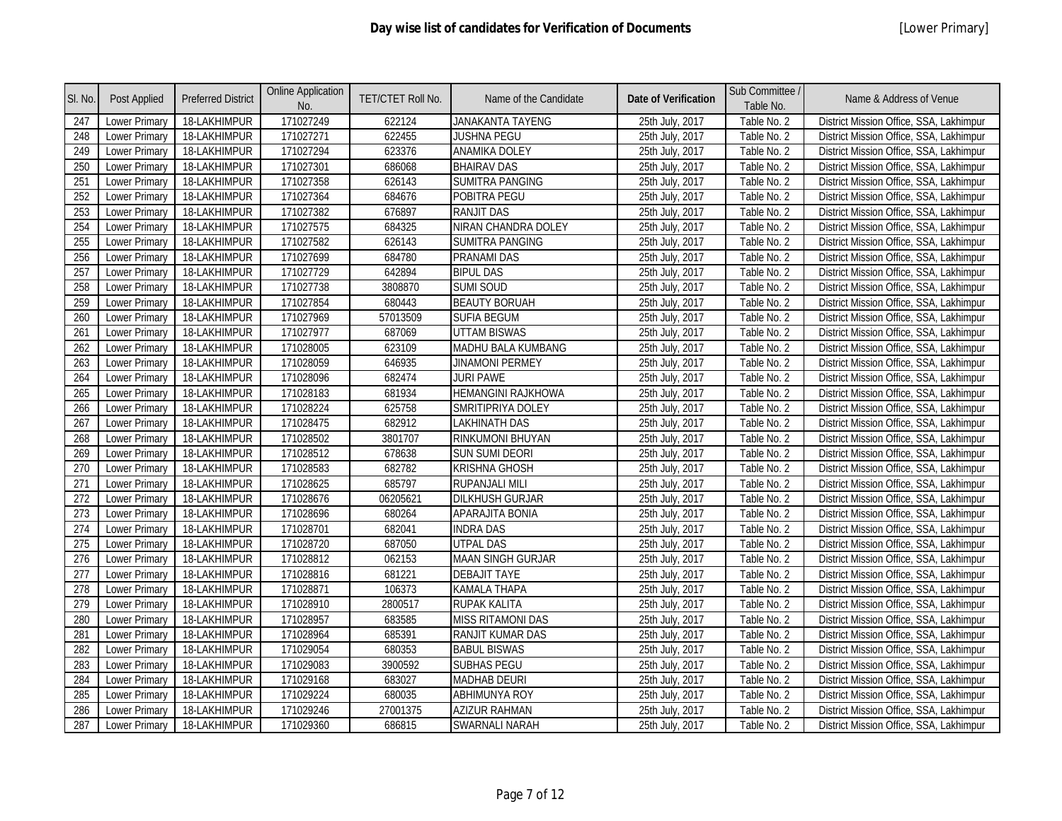| SI. No. | Post Applied         | <b>Preferred District</b> | <b>Online Application</b><br>No. | TET/CTET Roll No. | Name of the Candidate     | <b>Date of Verification</b> | Sub Committee /<br>Table No. | Name & Address of Venue                 |
|---------|----------------------|---------------------------|----------------------------------|-------------------|---------------------------|-----------------------------|------------------------------|-----------------------------------------|
| 247     | Lower Primary        | 18-LAKHIMPUR              | 171027249                        | 622124            | JANAKANTA TAYENG          | 25th July, 2017             | Table No. 2                  | District Mission Office, SSA, Lakhimpur |
| 248     | Lower Primary        | 18-LAKHIMPUR              | 171027271                        | 622455            | <b>JUSHNA PEGU</b>        | 25th July, 2017             | Table No. 2                  | District Mission Office, SSA, Lakhimpur |
| 249     | <b>Lower Primary</b> | 18-LAKHIMPUR              | 171027294                        | 623376            | ANAMIKA DOLEY             | 25th July, 2017             | Table No. 2                  | District Mission Office, SSA, Lakhimpur |
| 250     | <b>Lower Primary</b> | 18-LAKHIMPUR              | 171027301                        | 686068            | <b>BHAIRAV DAS</b>        | 25th July, 2017             | Table No. 2                  | District Mission Office, SSA, Lakhimpur |
| 251     | Lower Primary        | 18-LAKHIMPUR              | 171027358                        | 626143            | SUMITRA PANGING           | 25th July, 2017             | Table No. 2                  | District Mission Office, SSA, Lakhimpur |
| 252     | Lower Primary        | 18-LAKHIMPUR              | 171027364                        | 684676            | POBITRA PEGU              | 25th July, 2017             | Table No. 2                  | District Mission Office, SSA, Lakhimpur |
| 253     | Lower Primary        | 18-LAKHIMPUR              | 171027382                        | 676897            | <b>RANJIT DAS</b>         | 25th July, 2017             | Table No. 2                  | District Mission Office, SSA, Lakhimpur |
| 254     | <b>Lower Primary</b> | 18-LAKHIMPUR              | 171027575                        | 684325            | NIRAN CHANDRA DOLEY       | 25th July, 2017             | Table No. 2                  | District Mission Office, SSA, Lakhimpur |
| 255     | Lower Primary        | 18-LAKHIMPUR              | 171027582                        | 626143            | <b>SUMITRA PANGING</b>    | 25th July, 2017             | Table No. 2                  | District Mission Office, SSA, Lakhimpur |
| 256     | Lower Primary        | 18-LAKHIMPUR              | 171027699                        | 684780            | PRANAMI DAS               | 25th July, 2017             | Table No. 2                  | District Mission Office, SSA, Lakhimpur |
| 257     | <b>Lower Primary</b> | 18-LAKHIMPUR              | 171027729                        | 642894            | <b>BIPUL DAS</b>          | 25th July, 2017             | Table No. 2                  | District Mission Office, SSA, Lakhimpur |
| 258     | <b>Lower Primary</b> | 18-LAKHIMPUR              | 171027738                        | 3808870           | <b>SUMI SOUD</b>          | 25th July, 2017             | Table No. 2                  | District Mission Office, SSA, Lakhimpur |
| 259     | <b>Lower Primary</b> | 18-LAKHIMPUR              | 171027854                        | 680443            | <b>BEAUTY BORUAH</b>      | 25th July, 2017             | Table No. 2                  | District Mission Office, SSA, Lakhimpur |
| 260     | Lower Primary        | 18-LAKHIMPUR              | 171027969                        | 57013509          | <b>SUFIA BEGUM</b>        | 25th July, 2017             | Table No. 2                  | District Mission Office, SSA, Lakhimpur |
| 261     | <b>Lower Primary</b> | 18-LAKHIMPUR              | 171027977                        | 687069            | <b>UTTAM BISWAS</b>       | 25th July, 2017             | Table No. 2                  | District Mission Office, SSA, Lakhimpur |
| 262     | Lower Primary        | 18-LAKHIMPUR              | 171028005                        | 623109            | MADHU BALA KUMBANG        | 25th July, 2017             | Table No. 2                  | District Mission Office, SSA, Lakhimpur |
| 263     | Lower Primary        | 18-LAKHIMPUR              | 171028059                        | 646935            | <b>JINAMONI PERMEY</b>    | 25th July, 2017             | Table No. 2                  | District Mission Office, SSA, Lakhimpur |
| 264     | Lower Primary        | 18-LAKHIMPUR              | 171028096                        | 682474            | <b>JURI PAWE</b>          | 25th July, 2017             | Table No. 2                  | District Mission Office, SSA, Lakhimpur |
| 265     | <b>Lower Primary</b> | 18-LAKHIMPUR              | 171028183                        | 681934            | <b>HEMANGINI RAJKHOWA</b> | 25th July, 2017             | Table No. 2                  | District Mission Office, SSA, Lakhimpur |
| 266     | Lower Primary        | 18-LAKHIMPUR              | 171028224                        | 625758            | SMRITIPRIYA DOLEY         | 25th July, 2017             | Table No. 2                  | District Mission Office, SSA, Lakhimpur |
| 267     | <b>Lower Primary</b> | 18-LAKHIMPUR              | 171028475                        | 682912            | LAKHINATH DAS             | 25th July, 2017             | Table No. 2                  | District Mission Office, SSA, Lakhimpur |
| 268     | Lower Primary        | 18-LAKHIMPUR              | 171028502                        | 3801707           | RINKUMONI BHUYAN          | 25th July, 2017             | Table No. 2                  | District Mission Office, SSA, Lakhimpur |
| 269     | Lower Primary        | 18-LAKHIMPUR              | 171028512                        | 678638            | <b>SUN SUMI DEORI</b>     | 25th July, 2017             | Table No. 2                  | District Mission Office, SSA, Lakhimpur |
| 270     | Lower Primary        | 18-LAKHIMPUR              | 171028583                        | 682782            | <b>KRISHNA GHOSH</b>      | 25th July, 2017             | Table No. 2                  | District Mission Office, SSA, Lakhimpur |
| 271     | Lower Primary        | 18-LAKHIMPUR              | 171028625                        | 685797            | RUPANJALI MILI            | 25th July, 2017             | Table No. 2                  | District Mission Office, SSA, Lakhimpur |
| 272     | <b>Lower Primary</b> | 18-LAKHIMPUR              | 171028676                        | 06205621          | <b>DILKHUSH GURJAR</b>    | 25th July, 2017             | Table No. 2                  | District Mission Office, SSA, Lakhimpur |
| 273     | Lower Primary        | 18-LAKHIMPUR              | 171028696                        | 680264            | APARAJITA BONIA           | 25th July, 2017             | Table No. 2                  | District Mission Office, SSA, Lakhimpur |
| 274     | Lower Primary        | 18-LAKHIMPUR              | 171028701                        | 682041            | <b>INDRA DAS</b>          | 25th July, 2017             | Table No. 2                  | District Mission Office, SSA, Lakhimpur |
| 275     | <b>Lower Primary</b> | 18-LAKHIMPUR              | 171028720                        | 687050            | <b>UTPAL DAS</b>          | 25th July, 2017             | Table No. 2                  | District Mission Office, SSA, Lakhimpur |
| 276     | Lower Primary        | 18-LAKHIMPUR              | 171028812                        | 062153            | <b>MAAN SINGH GURJAR</b>  | 25th July, 2017             | Table No. 2                  | District Mission Office, SSA, Lakhimpur |
| 277     | Lower Primary        | 18-LAKHIMPUR              | 171028816                        | 681221            | <b>DEBAJIT TAYE</b>       | 25th July, 2017             | Table No. 2                  | District Mission Office, SSA, Lakhimpur |
| 278     | Lower Primary        | 18-LAKHIMPUR              | 171028871                        | 106373            | <b>KAMALA THAPA</b>       | 25th July, 2017             | Table No. 2                  | District Mission Office, SSA, Lakhimpur |
| 279     | <b>Lower Primary</b> | 18-LAKHIMPUR              | 171028910                        | 2800517           | RUPAK KALITA              | 25th July, 2017             | Table No. 2                  | District Mission Office, SSA, Lakhimpur |
| 280     | <b>Lower Primary</b> | 18-LAKHIMPUR              | 171028957                        | 683585            | <b>MISS RITAMONI DAS</b>  | 25th July, 2017             | Table No. 2                  | District Mission Office, SSA, Lakhimpur |
| 281     | <b>Lower Primary</b> | 18-LAKHIMPUR              | 171028964                        | 685391            | RANJIT KUMAR DAS          | 25th July, 2017             | Table No. 2                  | District Mission Office, SSA, Lakhimpur |
| 282     | Lower Primary        | 18-LAKHIMPUR              | 171029054                        | 680353            | <b>BABUL BISWAS</b>       | 25th July, 2017             | Table No. 2                  | District Mission Office, SSA, Lakhimpur |
| 283     | Lower Primary        | 18-LAKHIMPUR              | 171029083                        | 3900592           | <b>SUBHAS PEGU</b>        | 25th July, 2017             | Table No. 2                  | District Mission Office, SSA, Lakhimpur |
| 284     | Lower Primary        | 18-LAKHIMPUR              | 171029168                        | 683027            | MADHAB DEURI              | 25th July, 2017             | Table No. 2                  | District Mission Office, SSA, Lakhimpur |
| 285     | <b>Lower Primary</b> | 18-LAKHIMPUR              | 171029224                        | 680035            | ABHIMUNYA ROY             | 25th July, 2017             | Table No. 2                  | District Mission Office, SSA, Lakhimpur |
| 286     | Lower Primary        | 18-LAKHIMPUR              | 171029246                        | 27001375          | <b>AZIZUR RAHMAN</b>      | 25th July, 2017             | Table No. 2                  | District Mission Office, SSA, Lakhimpur |
| 287     | <b>Lower Primary</b> | 18-LAKHIMPUR              | 171029360                        | 686815            | SWARNALI NARAH            | 25th July, 2017             | Table No. 2                  | District Mission Office, SSA, Lakhimpur |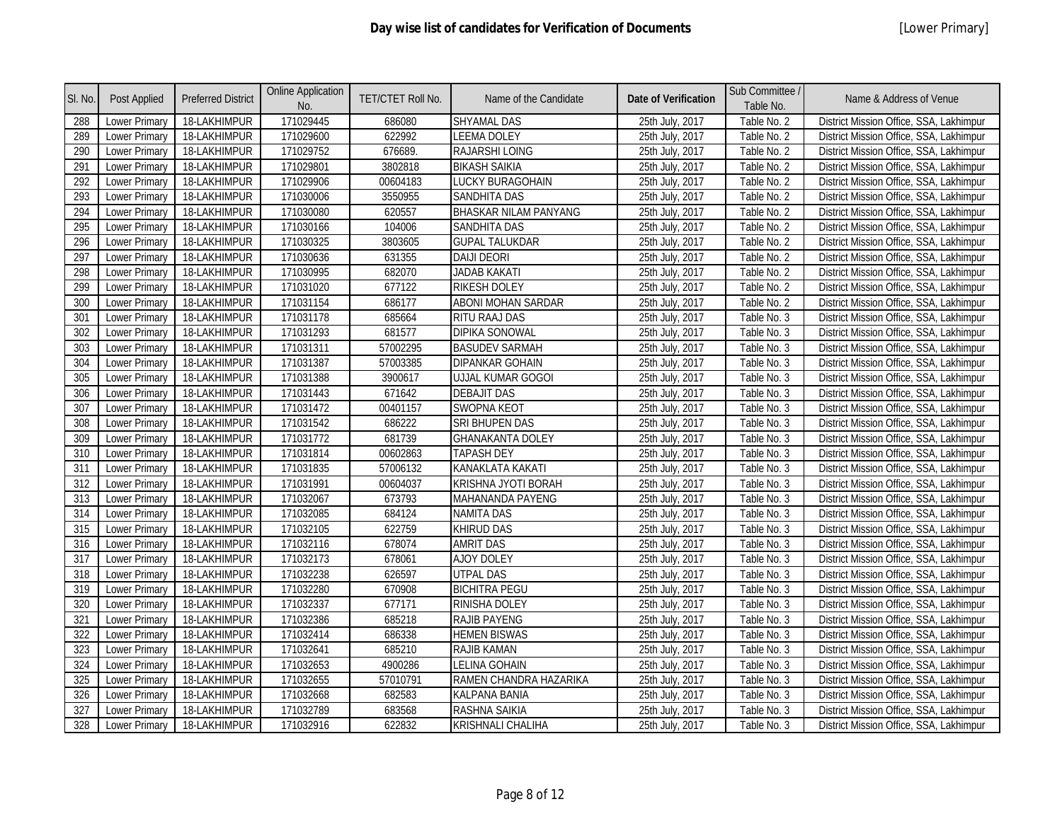| SI. No.          | <b>Post Applied</b>  | <b>Preferred District</b> | <b>Online Application</b><br>No. | <b>TET/CTET Roll No.</b> | Name of the Candidate        | <b>Date of Verification</b> | Sub Committee /<br>Table No. | Name & Address of Venue                 |
|------------------|----------------------|---------------------------|----------------------------------|--------------------------|------------------------------|-----------------------------|------------------------------|-----------------------------------------|
| 288              | Lower Primary        | 18-LAKHIMPUR              | 171029445                        | 686080                   | <b>SHYAMAL DAS</b>           | 25th July, 2017             | Table No. 2                  | District Mission Office, SSA, Lakhimpur |
| 289              | <b>Lower Primary</b> | 18-LAKHIMPUR              | 171029600                        | 622992                   | <b>LEEMA DOLEY</b>           | 25th July, 2017             | Table No. 2                  | District Mission Office, SSA, Lakhimpur |
| 290              | <b>Lower Primary</b> | 18-LAKHIMPUR              | 171029752                        | 676689.                  | RAJARSHI LOING               | 25th July, 2017             | Table No. 2                  | District Mission Office, SSA, Lakhimpur |
| 291              | <b>Lower Primary</b> | 18-LAKHIMPUR              | 171029801                        | 3802818                  | <b>BIKASH SAIKIA</b>         | 25th July, 2017             | Table No. 2                  | District Mission Office, SSA, Lakhimpur |
| 292              | <b>Lower Primary</b> | 18-LAKHIMPUR              | 171029906                        | 00604183                 | <b>LUCKY BURAGOHAIN</b>      | 25th July, 2017             | Table No. 2                  | District Mission Office, SSA, Lakhimpur |
| 293              | <b>Lower Primary</b> | 18-LAKHIMPUR              | 171030006                        | 3550955                  | <b>SANDHITA DAS</b>          | 25th July, 2017             | Table No. 2                  | District Mission Office, SSA, Lakhimpur |
| 294              | Lower Primary        | 18-LAKHIMPUR              | 171030080                        | 620557                   | <b>BHASKAR NILAM PANYANG</b> | 25th July, 2017             | Table No. 2                  | District Mission Office, SSA, Lakhimpur |
| 295              | Lower Primary        | 18-LAKHIMPUR              | 171030166                        | 104006                   | <b>SANDHITA DAS</b>          | 25th July, 2017             | Table No. 2                  | District Mission Office, SSA, Lakhimpur |
| 296              | <b>Lower Primary</b> | 18-LAKHIMPUR              | 171030325                        | 3803605                  | <b>GUPAL TALUKDAR</b>        | 25th July, 2017             | Table No. 2                  | District Mission Office, SSA, Lakhimpur |
| 297              | <b>Lower Primary</b> | 18-LAKHIMPUR              | 171030636                        | 631355                   | <b>DAIJI DEORI</b>           | 25th July, 2017             | Table No. 2                  | District Mission Office, SSA, Lakhimpur |
| 298              | Lower Primary        | 18-LAKHIMPUR              | 171030995                        | 682070                   | <b>JADAB KAKATI</b>          | 25th July, 2017             | Table No. 2                  | District Mission Office, SSA, Lakhimpur |
| 299              | <b>Lower Primary</b> | 18-LAKHIMPUR              | 171031020                        | 677122                   | <b>RIKESH DOLEY</b>          | 25th July, 2017             | Table No. 2                  | District Mission Office, SSA, Lakhimpur |
| 300              | Lower Primary        | 18-LAKHIMPUR              | 171031154                        | 686177                   | <b>ABONI MOHAN SARDAR</b>    | 25th July, 2017             | Table No. 2                  | District Mission Office, SSA, Lakhimpur |
| 301              | Lower Primary        | 18-LAKHIMPUR              | 171031178                        | 685664                   | RITU RAAJ DAS                | 25th July, 2017             | Table No. 3                  | District Mission Office, SSA, Lakhimpur |
| 302              | <b>Lower Primary</b> | 18-LAKHIMPUR              | 171031293                        | 681577                   | <b>DIPIKA SONOWAL</b>        | 25th July, 2017             | Table No. 3                  | District Mission Office, SSA, Lakhimpur |
| 303              | Lower Primary        | 18-LAKHIMPUR              | 171031311                        | 57002295                 | <b>BASUDEV SARMAH</b>        | 25th July, 2017             | Table No. 3                  | District Mission Office, SSA, Lakhimpur |
| 304              | Lower Primary        | 18-LAKHIMPUR              | 171031387                        | 57003385                 | <b>DIPANKAR GOHAIN</b>       | 25th July, 2017             | Table No. 3                  | District Mission Office, SSA, Lakhimpur |
| 305              | Lower Primary        | 18-LAKHIMPUR              | 171031388                        | 3900617                  | <b>UJJAL KUMAR GOGOI</b>     | 25th July, 2017             | Table No. 3                  | District Mission Office, SSA, Lakhimpur |
| 306              | <b>Lower Primary</b> | 18-LAKHIMPUR              | 171031443                        | 671642                   | <b>DEBAJIT DAS</b>           | 25th July, 2017             | Table No. 3                  | District Mission Office, SSA, Lakhimpur |
| 307              | <b>Lower Primary</b> | 18-LAKHIMPUR              | 171031472                        | 00401157                 | <b>SWOPNA KEOT</b>           | 25th July, 2017             | Table No. 3                  | District Mission Office, SSA, Lakhimpur |
| 308              | <b>Lower Primary</b> | 18-LAKHIMPUR              | 171031542                        | 686222                   | <b>SRI BHUPEN DAS</b>        | 25th July, 2017             | Table No. 3                  | District Mission Office, SSA, Lakhimpur |
| 309              | Lower Primary        | 18-LAKHIMPUR              | 171031772                        | 681739                   | <b>GHANAKANTA DOLEY</b>      | 25th July, 2017             | Table No. 3                  | District Mission Office, SSA, Lakhimpur |
| 310              | <b>Lower Primary</b> | 18-LAKHIMPUR              | 171031814                        | 00602863                 | <b>TAPASH DEY</b>            | 25th July, 2017             | Table No. 3                  | District Mission Office, SSA, Lakhimpur |
| 311              | <b>Lower Primary</b> | 18-LAKHIMPUR              | 171031835                        | 57006132                 | KANAKLATA KAKATI             | 25th July, 2017             | Table No. 3                  | District Mission Office, SSA, Lakhimpur |
| 312              | Lower Primary        | 18-LAKHIMPUR              | 171031991                        | 00604037                 | KRISHNA JYOTI BORAH          | 25th July, 2017             | Table No. 3                  | District Mission Office, SSA, Lakhimpur |
| 313              | <b>Lower Primary</b> | 18-LAKHIMPUR              | 171032067                        | 673793                   | MAHANANDA PAYENG             | 25th July, 2017             | Table No. 3                  | District Mission Office, SSA, Lakhimpur |
| $\overline{314}$ | <b>Lower Primary</b> | 18-LAKHIMPUR              | 171032085                        | 684124                   | <b>NAMITA DAS</b>            | 25th July, 2017             | Table No. 3                  | District Mission Office, SSA, Lakhimpur |
| 315              | <b>Lower Primary</b> | 18-LAKHIMPUR              | 171032105                        | 622759                   | <b>KHIRUD DAS</b>            | 25th July, 2017             | Table No. 3                  | District Mission Office, SSA, Lakhimpur |
| 316              | Lower Primary        | 18-LAKHIMPUR              | 171032116                        | 678074                   | <b>AMRIT DAS</b>             | 25th July, 2017             | Table No. 3                  | District Mission Office, SSA, Lakhimpur |
| 317              | Lower Primary        | 18-LAKHIMPUR              | 171032173                        | 678061                   | <b>AJOY DOLEY</b>            | 25th July, 2017             | Table No. 3                  | District Mission Office, SSA, Lakhimpur |
| 318              | <b>Lower Primary</b> | 18-LAKHIMPUR              | 171032238                        | 626597                   | <b>UTPAL DAS</b>             | 25th July, 2017             | Table No. 3                  | District Mission Office, SSA, Lakhimpur |
| 319              | <b>Lower Primary</b> | 18-LAKHIMPUR              | 171032280                        | 670908                   | <b>BICHITRA PEGU</b>         | 25th July, 2017             | Table No. 3                  | District Mission Office, SSA, Lakhimpur |
| 320              | Lower Primary        | 18-LAKHIMPUR              | 171032337                        | 677171                   | <b>RINISHA DOLEY</b>         | 25th July, 2017             | Table No. 3                  | District Mission Office, SSA, Lakhimpur |
| 321              | <b>Lower Primary</b> | 18-LAKHIMPUR              | 171032386                        | 685218                   | <b>RAJIB PAYENG</b>          | 25th July, 2017             | Table No. 3                  | District Mission Office, SSA, Lakhimpur |
| 322              | <b>Lower Primary</b> | 18-LAKHIMPUR              | 171032414                        | 686338                   | <b>HEMEN BISWAS</b>          | 25th July, 2017             | Table No. 3                  | District Mission Office, SSA, Lakhimpur |
| 323              | <b>Lower Primary</b> | 18-LAKHIMPUR              | 171032641                        | 685210                   | RAJIB KAMAN                  | 25th July, 2017             | Table No. 3                  | District Mission Office, SSA, Lakhimpur |
| 324              | Lower Primary        | 18-LAKHIMPUR              | 171032653                        | 4900286                  | <b>LELINA GOHAIN</b>         | 25th July, 2017             | Table No. 3                  | District Mission Office, SSA, Lakhimpur |
| 325              | Lower Primary        | 18-LAKHIMPUR              | 171032655                        | 57010791                 | RAMEN CHANDRA HAZARIKA       | 25th July, 2017             | Table No. 3                  | District Mission Office, SSA, Lakhimpur |
| 326              | Lower Primary        | 18-LAKHIMPUR              | 171032668                        | 682583                   | <b>KALPANA BANIA</b>         | 25th July, 2017             | Table No. 3                  | District Mission Office, SSA, Lakhimpur |
| 327              | <b>Lower Primary</b> | 18-LAKHIMPUR              | 171032789                        | 683568                   | RASHNA SAIKIA                | 25th July, 2017             | Table No. 3                  | District Mission Office, SSA, Lakhimpur |
| 328              | Lower Primary        | 18-LAKHIMPUR              | 171032916                        | 622832                   | <b>KRISHNALI CHALIHA</b>     | 25th July, 2017             | Table No. 3                  | District Mission Office, SSA, Lakhimpur |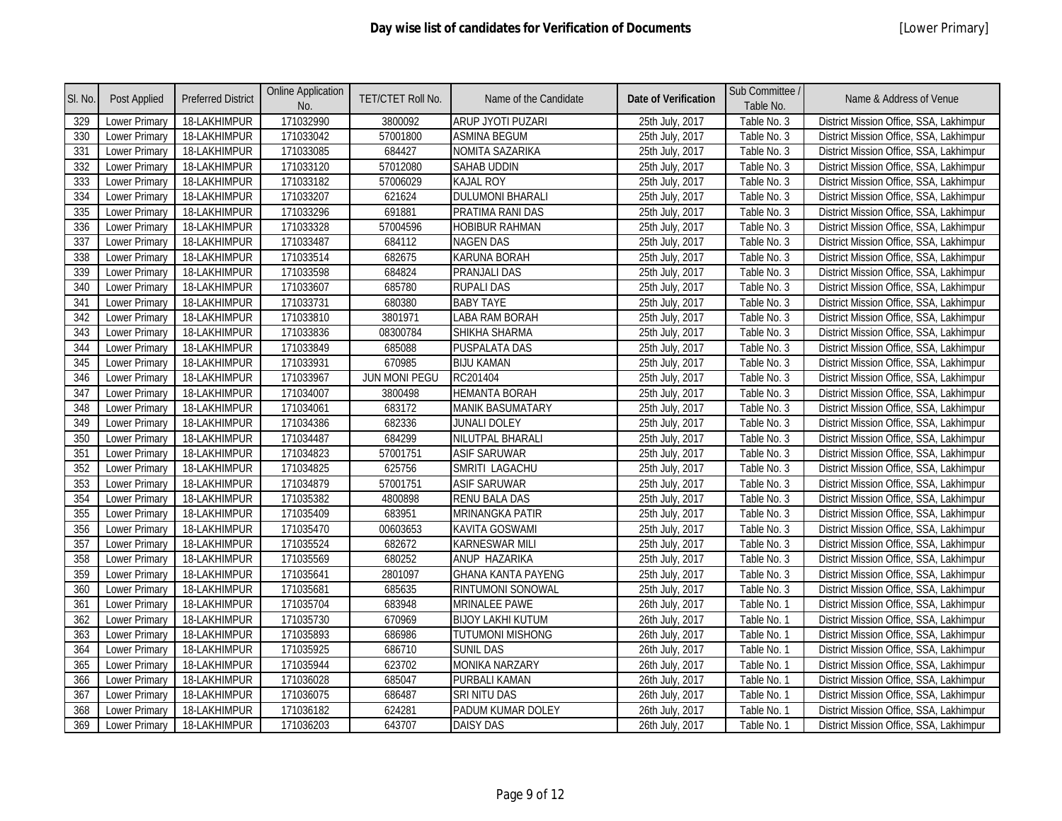| SI. No.          | Post Applied         | <b>Preferred District</b> | <b>Online Application</b><br>No. | TET/CTET Roll No. | Name of the Candidate     | <b>Date of Verification</b> | Sub Committee /<br>Table No. | Name & Address of Venue                 |
|------------------|----------------------|---------------------------|----------------------------------|-------------------|---------------------------|-----------------------------|------------------------------|-----------------------------------------|
| 329              | Lower Primary        | 18-LAKHIMPUR              | 171032990                        | 3800092           | ARUP JYOTI PUZARI         | 25th July, 2017             | Table No. 3                  | District Mission Office, SSA, Lakhimpur |
| 330              | Lower Primary        | 18-LAKHIMPUR              | 171033042                        | 57001800          | <b>ASMINA BEGUM</b>       | 25th July, 2017             | Table No. 3                  | District Mission Office, SSA, Lakhimpur |
| 331              | Lower Primary        | 18-LAKHIMPUR              | 171033085                        | 684427            | NOMITA SAZARIKA           | 25th July, 2017             | Table No. 3                  | District Mission Office, SSA, Lakhimpur |
| 332              | <b>Lower Primary</b> | 18-LAKHIMPUR              | 171033120                        | 57012080          | <b>SAHAB UDDIN</b>        | 25th July, 2017             | Table No. 3                  | District Mission Office, SSA, Lakhimpur |
| 333              | Lower Primary        | 18-LAKHIMPUR              | 171033182                        | 57006029          | <b>KAJAL ROY</b>          | 25th July, 2017             | Table No. 3                  | District Mission Office, SSA, Lakhimpur |
| 334              | <b>Lower Primary</b> | 18-LAKHIMPUR              | 171033207                        | 621624            | <b>DULUMONI BHARALI</b>   | 25th July, 2017             | Table No. 3                  | District Mission Office, SSA, Lakhimpur |
| 335              | <b>Lower Primary</b> | 18-LAKHIMPUR              | 171033296                        | 691881            | PRATIMA RANI DAS          | 25th July, 2017             | Table No. 3                  | District Mission Office, SSA, Lakhimpur |
| 336              | Lower Primary        | 18-LAKHIMPUR              | 171033328                        | 57004596          | <b>HOBIBUR RAHMAN</b>     | 25th July, 2017             | Table No. 3                  | District Mission Office, SSA, Lakhimpur |
| $\overline{337}$ | Lower Primary        | 18-LAKHIMPUR              | 171033487                        | 684112            | <b>NAGEN DAS</b>          | 25th July, 2017             | Table No. 3                  | District Mission Office, SSA, Lakhimpur |
| 338              | Lower Primary        | 18-LAKHIMPUR              | 171033514                        | 682675            | <b>KARUNA BORAH</b>       | 25th July, 2017             | Table No. 3                  | District Mission Office, SSA, Lakhimpur |
| 339              | Lower Primary        | 18-LAKHIMPUR              | 171033598                        | 684824            | <b>PRANJALI DAS</b>       | 25th July, 2017             | Table No. 3                  | District Mission Office, SSA, Lakhimpur |
| 340              | <b>Lower Primary</b> | 18-LAKHIMPUR              | 171033607                        | 685780            | <b>RUPALI DAS</b>         | 25th July, 2017             | Table No. 3                  | District Mission Office, SSA, Lakhimpur |
| 341              | Lower Primary        | 18-LAKHIMPUR              | 171033731                        | 680380            | <b>BABY TAYE</b>          | 25th July, 2017             | Table No. 3                  | District Mission Office, SSA, Lakhimpur |
| 342              | Lower Primary        | 18-LAKHIMPUR              | 171033810                        | 3801971           | LABA RAM BORAH            | 25th July, 2017             | Table No. 3                  | District Mission Office, SSA, Lakhimpur |
| 343              | Lower Primary        | 18-LAKHIMPUR              | 171033836                        | 08300784          | SHIKHA SHARMA             | 25th July, 2017             | Table No. 3                  | District Mission Office, SSA, Lakhimpur |
| 344              | <b>Lower Primary</b> | 18-LAKHIMPUR              | 171033849                        | 685088            | PUSPALATA DAS             | 25th July, 2017             | Table No. 3                  | District Mission Office, SSA, Lakhimpur |
| 345              | <b>Lower Primary</b> | 18-LAKHIMPUR              | 171033931                        | 670985            | <b>BIJU KAMAN</b>         | 25th July, 2017             | Table No. 3                  | District Mission Office, SSA, Lakhimpur |
| 346              | Lower Primary        | 18-LAKHIMPUR              | 171033967                        | JUN MONI PEGU     | RC201404                  | 25th July, 2017             | Table No. 3                  | District Mission Office, SSA, Lakhimpur |
| 347              | Lower Primary        | 18-LAKHIMPUR              | 171034007                        | 3800498           | <b>HEMANTA BORAH</b>      | 25th July, 2017             | Table No. 3                  | District Mission Office, SSA, Lakhimpur |
| 348              | Lower Primary        | 18-LAKHIMPUR              | 171034061                        | 683172            | <b>MANIK BASUMATARY</b>   | 25th July, 2017             | Table No. 3                  | District Mission Office, SSA, Lakhimpur |
| 349              | Lower Primary        | 18-LAKHIMPUR              | 171034386                        | 682336            | JUNALI DOLEY              | 25th July, 2017             | Table No. 3                  | District Mission Office, SSA, Lakhimpur |
| 350              | <b>Lower Primary</b> | 18-LAKHIMPUR              | 171034487                        | 684299            | NILUTPAL BHARALI          | 25th July, 2017             | Table No. 3                  | District Mission Office, SSA, Lakhimpur |
| 351              | <b>Lower Primary</b> | 18-LAKHIMPUR              | 171034823                        | 57001751          | <b>ASIF SARUWAR</b>       | 25th July, 2017             | Table No. 3                  | District Mission Office, SSA, Lakhimpur |
| 352              | Lower Primary        | 18-LAKHIMPUR              | 171034825                        | 625756            | SMRITI LAGACHU            | 25th July, 2017             | Table No. 3                  | District Mission Office, SSA, Lakhimpur |
| 353              | Lower Primary        | 18-LAKHIMPUR              | 171034879                        | 57001751          | <b>ASIF SARUWAR</b>       | 25th July, 2017             | Table No. 3                  | District Mission Office, SSA, Lakhimpur |
| 354              | <b>Lower Primary</b> | 18-LAKHIMPUR              | 171035382                        | 4800898           | <b>RENU BALA DAS</b>      | 25th July, 2017             | Table No. 3                  | District Mission Office, SSA, Lakhimpur |
| 355              | Lower Primary        | 18-LAKHIMPUR              | 171035409                        | 683951            | <b>MRINANGKA PATIR</b>    | 25th July, 2017             | Table No. 3                  | District Mission Office, SSA, Lakhimpur |
| 356              | Lower Primary        | 18-LAKHIMPUR              | 171035470                        | 00603653          | <b>KAVITA GOSWAMI</b>     | 25th July, 2017             | Table No. 3                  | District Mission Office, SSA, Lakhimpur |
| 357              | Lower Primary        | 18-LAKHIMPUR              | 171035524                        | 682672            | <b>KARNESWAR MILI</b>     | 25th July, 2017             | Table No. 3                  | District Mission Office, SSA, Lakhimpur |
| 358              | Lower Primary        | 18-LAKHIMPUR              | 171035569                        | 680252            | ANUP HAZARIKA             | 25th July, 2017             | Table No. 3                  | District Mission Office, SSA, Lakhimpur |
| 359              | Lower Primary        | 18-LAKHIMPUR              | 171035641                        | 2801097           | <b>GHANA KANTA PAYENG</b> | 25th July, 2017             | Table No. 3                  | District Mission Office, SSA, Lakhimpur |
| 360              | Lower Primary        | 18-LAKHIMPUR              | 171035681                        | 685635            | RINTUMONI SONOWAL         | 25th July, 2017             | Table No. 3                  | District Mission Office, SSA, Lakhimpur |
| 361              | <b>Lower Primary</b> | 18-LAKHIMPUR              | 171035704                        | 683948            | <b>MRINALEE PAWE</b>      | 26th July, 2017             | Table No. 1                  | District Mission Office, SSA, Lakhimpur |
| 362              | Lower Primary        | 18-LAKHIMPUR              | 171035730                        | 670969            | <b>BIJOY LAKHI KUTUM</b>  | 26th July, 2017             | Table No. 1                  | District Mission Office, SSA, Lakhimpur |
| 363              | <b>Lower Primary</b> | 18-LAKHIMPUR              | 171035893                        | 686986            | <b>TUTUMONI MISHONG</b>   | 26th July, 2017             | Table No. 1                  | District Mission Office, SSA, Lakhimpur |
| 364              | Lower Primary        | 18-LAKHIMPUR              | 171035925                        | 686710            | <b>SUNIL DAS</b>          | 26th July, 2017             | Table No. 1                  | District Mission Office, SSA, Lakhimpur |
| 365              | Lower Primary        | 18-LAKHIMPUR              | 171035944                        | 623702            | <b>MONIKA NARZARY</b>     | 26th July, 2017             | Table No. 1                  | District Mission Office, SSA, Lakhimpur |
| 366              | Lower Primary        | 18-LAKHIMPUR              | 171036028                        | 685047            | PURBALI KAMAN             | 26th July, 2017             | Table No. 1                  | District Mission Office, SSA, Lakhimpur |
| 367              | <b>Lower Primary</b> | 18-LAKHIMPUR              | 171036075                        | 686487            | SRI NITU DAS              | 26th July, 2017             | Table No. 1                  | District Mission Office, SSA, Lakhimpur |
| 368              | Lower Primary        | 18-LAKHIMPUR              | 171036182                        | 624281            | PADUM KUMAR DOLEY         | 26th July, 2017             | Table No. 1                  | District Mission Office, SSA, Lakhimpur |
| 369              | <b>Lower Primary</b> | 18-LAKHIMPUR              | 171036203                        | 643707            | <b>DAISY DAS</b>          | 26th July, 2017             | Table No. 1                  | District Mission Office, SSA, Lakhimpur |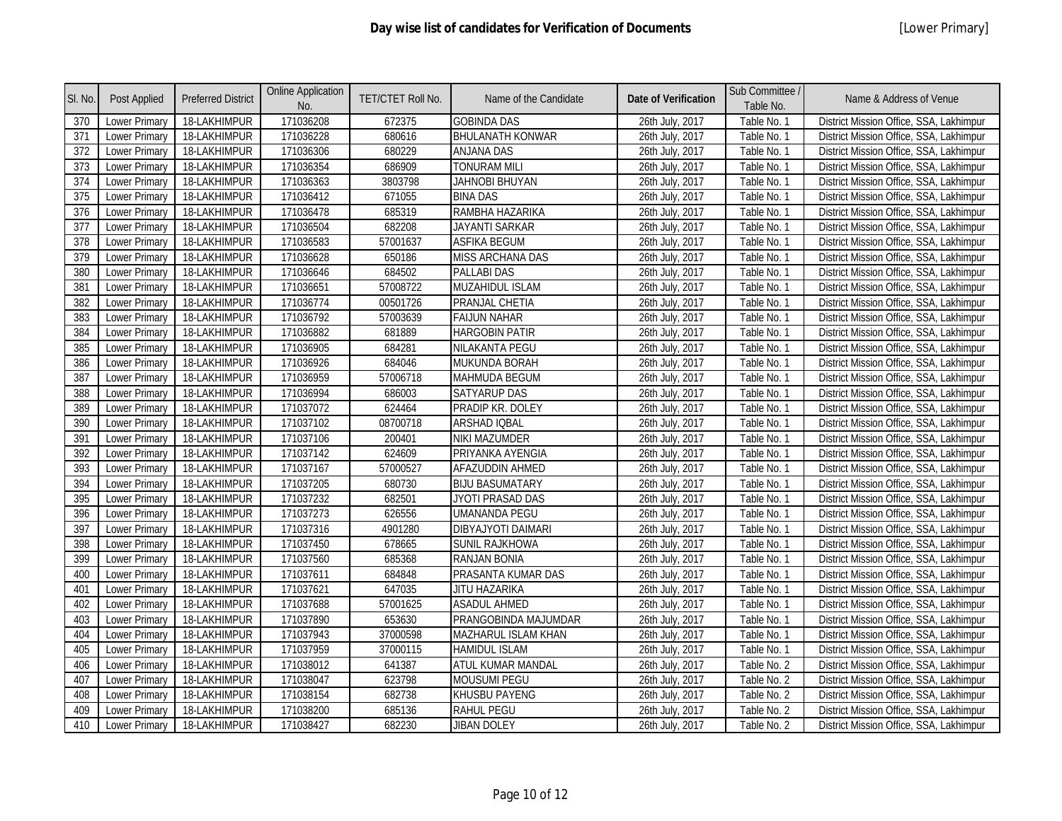| SI. No. | <b>Post Applied</b>  | <b>Preferred District</b> | <b>Online Application</b><br>No. | TET/CTET Roll No. | Name of the Candidate     | <b>Date of Verification</b> | Sub Committee /<br>Table No. | Name & Address of Venue                 |
|---------|----------------------|---------------------------|----------------------------------|-------------------|---------------------------|-----------------------------|------------------------------|-----------------------------------------|
| 370     | <b>Lower Primary</b> | 18-LAKHIMPUR              | 171036208                        | 672375            | <b>GOBINDA DAS</b>        | 26th July, 2017             | Table No. 1                  | District Mission Office, SSA, Lakhimpur |
| 371     | <b>Lower Primary</b> | 18-LAKHIMPUR              | 171036228                        | 680616            | <b>BHULANATH KONWAR</b>   | 26th July, 2017             | Table No. 1                  | District Mission Office, SSA, Lakhimpur |
| 372     | <b>Lower Primary</b> | 18-LAKHIMPUR              | 171036306                        | 680229            | <b>ANJANA DAS</b>         | 26th July, 2017             | Table No. 1                  | District Mission Office, SSA, Lakhimpur |
| 373     | <b>Lower Primary</b> | 18-LAKHIMPUR              | 171036354                        | 686909            | <b>TONURAM MILI</b>       | 26th July, 2017             | Table No. 1                  | District Mission Office, SSA, Lakhimpur |
| 374     | Lower Primary        | 18-LAKHIMPUR              | 171036363                        | 3803798           | <b>JAHNOBI BHUYAN</b>     | 26th July, 2017             | Table No. 1                  | District Mission Office, SSA, Lakhimpur |
| 375     | <b>Lower Primary</b> | 18-LAKHIMPUR              | 171036412                        | 671055            | <b>BINA DAS</b>           | 26th July, 2017             | Table No. 1                  | District Mission Office, SSA, Lakhimpur |
| 376     | <b>Lower Primary</b> | 18-LAKHIMPUR              | 171036478                        | 685319            | RAMBHA HAZARIKA           | 26th July, 2017             | Table No. 1                  | District Mission Office, SSA, Lakhimpur |
| 377     | Lower Primary        | 18-LAKHIMPUR              | 171036504                        | 682208            | <b>JAYANTI SARKAR</b>     | 26th July, 2017             | Table No. 1                  | District Mission Office, SSA, Lakhimpur |
| 378     | <b>Lower Primary</b> | 18-LAKHIMPUR              | 171036583                        | 57001637          | <b>ASFIKA BEGUM</b>       | 26th July, 2017             | Table No. 1                  | District Mission Office, SSA, Lakhimpur |
| 379     | Lower Primary        | 18-LAKHIMPUR              | 171036628                        | 650186            | <b>MISS ARCHANA DAS</b>   | 26th July, 2017             | Table No. 1                  | District Mission Office, SSA, Lakhimpur |
| 380     | Lower Primary        | 18-LAKHIMPUR              | 171036646                        | 684502            | <b>PALLABI DAS</b>        | 26th July, 2017             | Table No. 1                  | District Mission Office, SSA, Lakhimpur |
| 381     | <b>Lower Primary</b> | 18-LAKHIMPUR              | 171036651                        | 57008722          | <b>MUZAHIDUL ISLAM</b>    | 26th July, 2017             | Table No. 1                  | District Mission Office, SSA, Lakhimpur |
| 382     | <b>Lower Primary</b> | 18-LAKHIMPUR              | 171036774                        | 00501726          | PRANJAL CHETIA            | 26th July, 2017             | Table No. 1                  | District Mission Office, SSA, Lakhimpur |
| 383     | <b>Lower Primary</b> | 18-LAKHIMPUR              | 171036792                        | 57003639          | <b>FAIJUN NAHAR</b>       | 26th July, 2017             | Table No. 1                  | District Mission Office, SSA, Lakhimpur |
| 384     | <b>Lower Primary</b> | 18-LAKHIMPUR              | 171036882                        | 681889            | <b>HARGOBIN PATIR</b>     | 26th July, 2017             | Table No. 1                  | District Mission Office, SSA, Lakhimpur |
| 385     | Lower Primary        | 18-LAKHIMPUR              | 171036905                        | 684281            | NILAKANTA PEGU            | 26th July, 2017             | Table No. 1                  | District Mission Office, SSA, Lakhimpur |
| 386     | Lower Primary        | 18-LAKHIMPUR              | 171036926                        | 684046            | MUKUNDA BORAH             | 26th July, 2017             | Table No. 1                  | District Mission Office, SSA, Lakhimpur |
| 387     | Lower Primary        | 18-LAKHIMPUR              | 171036959                        | 57006718          | <b>MAHMUDA BEGUM</b>      | 26th July, 2017             | Table No. 1                  | District Mission Office, SSA, Lakhimpur |
| 388     | <b>Lower Primary</b> | 18-LAKHIMPUR              | 171036994                        | 686003            | <b>SATYARUP DAS</b>       | 26th July, 2017             | Table No. 1                  | District Mission Office, SSA, Lakhimpur |
| 389     | Lower Primary        | 18-LAKHIMPUR              | 171037072                        | 624464            | PRADIP KR. DOLEY          | 26th July, 2017             | Table No. 1                  | District Mission Office, SSA, Lakhimpur |
| 390     | <b>Lower Primary</b> | 18-LAKHIMPUR              | 171037102                        | 08700718          | ARSHAD IQBAL              | 26th July, 2017             | Table No. 1                  | District Mission Office, SSA, Lakhimpur |
| 391     | <b>Lower Primary</b> | 18-LAKHIMPUR              | 171037106                        | 200401            | NIKI MAZUMDER             | 26th July, 2017             | Table No. 1                  | District Mission Office, SSA, Lakhimpur |
| 392     | Lower Primary        | 18-LAKHIMPUR              | 171037142                        | 624609            | PRIYANKA AYENGIA          | 26th July, 2017             | Table No. 1                  | District Mission Office, SSA, Lakhimpur |
| 393     | <b>Lower Primary</b> | 18-LAKHIMPUR              | 171037167                        | 57000527          | AFAZUDDIN AHMED           | 26th July, 2017             | Table No. 1                  | District Mission Office, SSA, Lakhimpur |
| 394     | <b>Lower Primary</b> | 18-LAKHIMPUR              | 171037205                        | 680730            | <b>BIJU BASUMATARY</b>    | 26th July, 2017             | Table No. 1                  | District Mission Office, SSA, Lakhimpur |
| 395     | <b>Lower Primary</b> | 18-LAKHIMPUR              | 171037232                        | 682501            | JYOTI PRASAD DAS          | 26th July, 2017             | Table No. 1                  | District Mission Office, SSA, Lakhimpur |
| 396     | <b>Lower Primary</b> | 18-LAKHIMPUR              | 171037273                        | 626556            | <b>UMANANDA PEGU</b>      | 26th July, 2017             | Table No. 1                  | District Mission Office, SSA, Lakhimpur |
| 397     | <b>Lower Primary</b> | 18-LAKHIMPUR              | 171037316                        | 4901280           | <b>DIBYAJYOTI DAIMARI</b> | 26th July, 2017             | Table No. 1                  | District Mission Office, SSA, Lakhimpur |
| 398     | Lower Primary        | 18-LAKHIMPUR              | 171037450                        | 678665            | <b>SUNIL RAJKHOWA</b>     | 26th July, 2017             | Table No. 1                  | District Mission Office, SSA, Lakhimpur |
| 399     | <b>Lower Primary</b> | 18-LAKHIMPUR              | 171037560                        | 685368            | <b>RANJAN BONIA</b>       | 26th July, 2017             | Table No. 1                  | District Mission Office, SSA, Lakhimpur |
| 400     | Lower Primary        | 18-LAKHIMPUR              | 171037611                        | 684848            | PRASANTA KUMAR DAS        | 26th July, 2017             | Table No. 1                  | District Mission Office, SSA, Lakhimpur |
| 401     | Lower Primary        | 18-LAKHIMPUR              | 171037621                        | 647035            | JITU HAZARIKA             | 26th July, 2017             | Table No. 1                  | District Mission Office, SSA, Lakhimpur |
| 402     | <b>Lower Primary</b> | 18-LAKHIMPUR              | 171037688                        | 57001625          | <b>ASADUL AHMED</b>       | 26th July, 2017             | Table No. 1                  | District Mission Office, SSA, Lakhimpur |
| 403     | <b>Lower Primary</b> | 18-LAKHIMPUR              | 171037890                        | 653630            | PRANGOBINDA MAJUMDAR      | 26th July, 2017             | Table No. 1                  | District Mission Office, SSA, Lakhimpur |
| 404     | Lower Primary        | 18-LAKHIMPUR              | 171037943                        | 37000598          | MAZHARUL ISLAM KHAN       | 26th July, 2017             | Table No. 1                  | District Mission Office, SSA, Lakhimpur |
| 405     | <b>Lower Primary</b> | 18-LAKHIMPUR              | 171037959                        | 37000115          | <b>HAMIDUL ISLAM</b>      | 26th July, 2017             | Table No. 1                  | District Mission Office, SSA, Lakhimpur |
| 406     | <b>Lower Primary</b> | 18-LAKHIMPUR              | 171038012                        | 641387            | ATUL KUMAR MANDAL         | 26th July, 2017             | Table No. 2                  | District Mission Office, SSA, Lakhimpur |
| 407     | Lower Primary        | 18-LAKHIMPUR              | 171038047                        | 623798            | <b>MOUSUMI PEGU</b>       | 26th July, 2017             | Table No. 2                  | District Mission Office, SSA, Lakhimpur |
| 408     | <b>Lower Primary</b> | 18-LAKHIMPUR              | 171038154                        | 682738            | <b>KHUSBU PAYENG</b>      | 26th July, 2017             | Table No. 2                  | District Mission Office, SSA, Lakhimpur |
| 409     | Lower Primary        | 18-LAKHIMPUR              | 171038200                        | 685136            | <b>RAHUL PEGU</b>         | 26th July, 2017             | Table No. 2                  | District Mission Office, SSA, Lakhimpur |
| 410     | <b>Lower Primary</b> | 18-LAKHIMPUR              | 171038427                        | 682230            | <b>JIBAN DOLEY</b>        | 26th July, 2017             | Table No. 2                  | District Mission Office, SSA, Lakhimpur |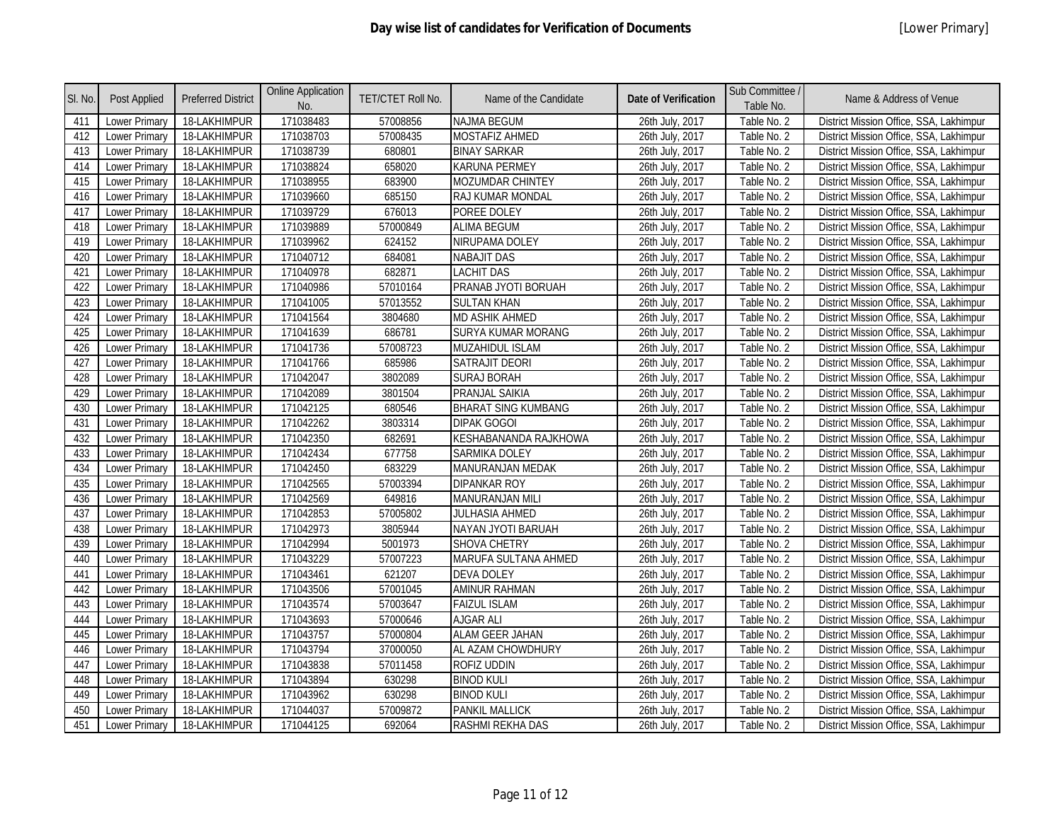| SI. No. | Post Applied         | <b>Preferred District</b> | <b>Online Application</b><br>No. | <b>TET/CTET Roll No.</b> | Name of the Candidate      | <b>Date of Verification</b> | Sub Committee /<br>Table No. | Name & Address of Venue                 |
|---------|----------------------|---------------------------|----------------------------------|--------------------------|----------------------------|-----------------------------|------------------------------|-----------------------------------------|
| 411     | Lower Primary        | 18-LAKHIMPUR              | 171038483                        | 57008856                 | <b>NAJMA BEGUM</b>         | 26th July, 2017             | Table No. 2                  | District Mission Office, SSA, Lakhimpur |
| 412     | <b>Lower Primary</b> | 18-LAKHIMPUR              | 171038703                        | 57008435                 | <b>MOSTAFIZ AHMED</b>      | 26th July, 2017             | Table No. 2                  | District Mission Office, SSA, Lakhimpur |
| 413     | Lower Primary        | 18-LAKHIMPUR              | 171038739                        | 680801                   | <b>BINAY SARKAR</b>        | 26th July, 2017             | Table No. 2                  | District Mission Office, SSA, Lakhimpur |
| 414     | <b>Lower Primary</b> | 18-LAKHIMPUR              | 171038824                        | 658020                   | KARUNA PERMEY              | 26th July, 2017             | Table No. 2                  | District Mission Office, SSA, Lakhimpur |
| 415     | Lower Primary        | 18-LAKHIMPUR              | 171038955                        | 683900                   | MOZUMDAR CHINTEY           | 26th July, 2017             | Table No. 2                  | District Mission Office, SSA, Lakhimpur |
| 416     | <b>Lower Primary</b> | 18-LAKHIMPUR              | 171039660                        | 685150                   | RAJ KUMAR MONDAL           | 26th July, 2017             | Table No. 2                  | District Mission Office, SSA, Lakhimpur |
| 417     | <b>Lower Primary</b> | 18-LAKHIMPUR              | 171039729                        | 676013                   | POREE DOLEY                | 26th July, 2017             | Table No. 2                  | District Mission Office, SSA, Lakhimpur |
| 418     | Lower Primary        | 18-LAKHIMPUR              | 171039889                        | 57000849                 | <b>ALIMA BEGUM</b>         | 26th July, 2017             | Table No. 2                  | District Mission Office, SSA, Lakhimpur |
| 419     | <b>Lower Primary</b> | 18-LAKHIMPUR              | 171039962                        | 624152                   | NIRUPAMA DOLEY             | 26th July, 2017             | Table No. 2                  | District Mission Office, SSA, Lakhimpur |
| 420     | Lower Primary        | 18-LAKHIMPUR              | 171040712                        | 684081                   | NABAJIT DAS                | 26th July, 2017             | Table No. 2                  | District Mission Office, SSA, Lakhimpur |
| 421     | <b>Lower Primary</b> | 18-LAKHIMPUR              | 171040978                        | 682871                   | <b>LACHIT DAS</b>          | 26th July, 2017             | Table No. 2                  | District Mission Office, SSA, Lakhimpur |
| 422     | Lower Primary        | 18-LAKHIMPUR              | 171040986                        | 57010164                 | PRANAB JYOTI BORUAH        | 26th July, 2017             | Table No. 2                  | District Mission Office, SSA, Lakhimpur |
| 423     | <b>Lower Primary</b> | 18-LAKHIMPUR              | 171041005                        | 57013552                 | <b>SULTAN KHAN</b>         | 26th July, 2017             | Table No. 2                  | District Mission Office, SSA, Lakhimpur |
| 424     | <b>Lower Primary</b> | 18-LAKHIMPUR              | 171041564                        | 3804680                  | MD ASHIK AHMED             | 26th July, 2017             | Table No. 2                  | District Mission Office, SSA, Lakhimpur |
| 425     | <b>Lower Primary</b> | 18-LAKHIMPUR              | 171041639                        | 686781                   | SURYA KUMAR MORANG         | 26th July, 2017             | Table No. 2                  | District Mission Office, SSA, Lakhimpur |
| 426     | Lower Primary        | 18-LAKHIMPUR              | 171041736                        | 57008723                 | MUZAHIDUL ISLAM            | 26th July, 2017             | Table No. 2                  | District Mission Office, SSA, Lakhimpur |
| 427     | Lower Primary        | 18-LAKHIMPUR              | 171041766                        | 685986                   | SATRAJIT DEORI             | 26th July, 2017             | Table No. 2                  | District Mission Office, SSA, Lakhimpur |
| 428     | Lower Primary        | 18-LAKHIMPUR              | 171042047                        | 3802089                  | <b>SURAJ BORAH</b>         | 26th July, 2017             | Table No. 2                  | District Mission Office, SSA, Lakhimpur |
| 429     | <b>Lower Primary</b> | 18-LAKHIMPUR              | 171042089                        | 3801504                  | PRANJAL SAIKIA             | 26th July, 2017             | Table No. 2                  | District Mission Office, SSA, Lakhimpur |
| 430     | Lower Primary        | 18-LAKHIMPUR              | 171042125                        | 680546                   | <b>BHARAT SING KUMBANG</b> | 26th July, 2017             | Table No. 2                  | District Mission Office, SSA, Lakhimpur |
| 431     | Lower Primary        | 18-LAKHIMPUR              | 171042262                        | 3803314                  | <b>DIPAK GOGOI</b>         | 26th July, 2017             | Table No. 2                  | District Mission Office, SSA, Lakhimpur |
| 432     | Lower Primary        | 18-LAKHIMPUR              | 171042350                        | 682691                   | KESHABANANDA RAJKHOWA      | 26th July, 2017             | Table No. 2                  | District Mission Office, SSA, Lakhimpur |
| 433     | Lower Primary        | 18-LAKHIMPUR              | 171042434                        | 677758                   | <b>SARMIKA DOLEY</b>       | 26th July, 2017             | Table No. 2                  | District Mission Office, SSA, Lakhimpur |
| 434     | <b>Lower Primary</b> | 18-LAKHIMPUR              | 171042450                        | 683229                   | <b>MANURANJAN MEDAK</b>    | 26th July, 2017             | Table No. 2                  | District Mission Office, SSA, Lakhimpur |
| 435     | Lower Primary        | 18-LAKHIMPUR              | 171042565                        | 57003394                 | <b>DIPANKAR ROY</b>        | 26th July, 2017             | Table No. 2                  | District Mission Office, SSA, Lakhimpur |
| 436     | <b>Lower Primary</b> | 18-LAKHIMPUR              | 171042569                        | 649816                   | MANURANJAN MILI            | 26th July, 2017             | Table No. 2                  | District Mission Office, SSA, Lakhimpur |
| 437     | Lower Primary        | 18-LAKHIMPUR              | 171042853                        | 57005802                 | <b>JULHASIA AHMED</b>      | 26th July, 2017             | Table No. 2                  | District Mission Office, SSA, Lakhimpur |
| 438     | <b>Lower Primary</b> | 18-LAKHIMPUR              | 171042973                        | 3805944                  | NAYAN JYOTI BARUAH         | 26th July, 2017             | Table No. 2                  | District Mission Office, SSA, Lakhimpur |
| 439     | Lower Primary        | 18-LAKHIMPUR              | 171042994                        | 5001973                  | SHOVA CHETRY               | 26th July, 2017             | Table No. 2                  | District Mission Office, SSA, Lakhimpur |
| 440     | Lower Primary        | 18-LAKHIMPUR              | 171043229                        | 57007223                 | MARUFA SULTANA AHMED       | 26th July, 2017             | Table No. 2                  | District Mission Office, SSA, Lakhimpur |
| 441     | Lower Primary        | 18-LAKHIMPUR              | 171043461                        | 621207                   | <b>DEVA DOLEY</b>          | 26th July, 2017             | Table No. 2                  | District Mission Office, SSA, Lakhimpur |
| 442     | Lower Primary        | 18-LAKHIMPUR              | 171043506                        | 57001045                 | AMINUR RAHMAN              | 26th July, 2017             | Table No. 2                  | District Mission Office, SSA, Lakhimpur |
| 443     | <b>Lower Primary</b> | 18-LAKHIMPUR              | 171043574                        | 57003647                 | <b>FAIZUL ISLAM</b>        | 26th July, 2017             | Table No. 2                  | District Mission Office, SSA, Lakhimpur |
| 444     | Lower Primary        | 18-LAKHIMPUR              | 171043693                        | 57000646                 | <b>AJGAR ALI</b>           | 26th July, 2017             | Table No. 2                  | District Mission Office, SSA, Lakhimpur |
| 445     | <b>Lower Primary</b> | 18-LAKHIMPUR              | 171043757                        | 57000804                 | ALAM GEER JAHAN            | 26th July, 2017             | Table No. 2                  | District Mission Office, SSA, Lakhimpur |
| 446     | Lower Primary        | 18-LAKHIMPUR              | 171043794                        | 37000050                 | AL AZAM CHOWDHURY          | 26th July, 2017             | Table No. 2                  | District Mission Office, SSA, Lakhimpur |
| 447     | <b>Lower Primary</b> | 18-LAKHIMPUR              | 171043838                        | 57011458                 | ROFIZ UDDIN                | 26th July, 2017             | Table No. 2                  | District Mission Office, SSA, Lakhimpur |
| 448     | Lower Primary        | 18-LAKHIMPUR              | 171043894                        | 630298                   | <b>BINOD KULI</b>          | 26th July, 2017             | Table No. 2                  | District Mission Office, SSA, Lakhimpur |
| 449     | Lower Primary        | 18-LAKHIMPUR              | 171043962                        | 630298                   | <b>BINOD KULI</b>          | 26th July, 2017             | Table No. 2                  | District Mission Office, SSA, Lakhimpur |
| 450     | Lower Primary        | 18-LAKHIMPUR              | 171044037                        | 57009872                 | <b>PANKIL MALLICK</b>      | 26th July, 2017             | Table No. 2                  | District Mission Office, SSA, Lakhimpur |
| 451     | Lower Primary        | 18-LAKHIMPUR              | 171044125                        | 692064                   | RASHMI REKHA DAS           | 26th July, 2017             | Table No. 2                  | District Mission Office, SSA, Lakhimpur |